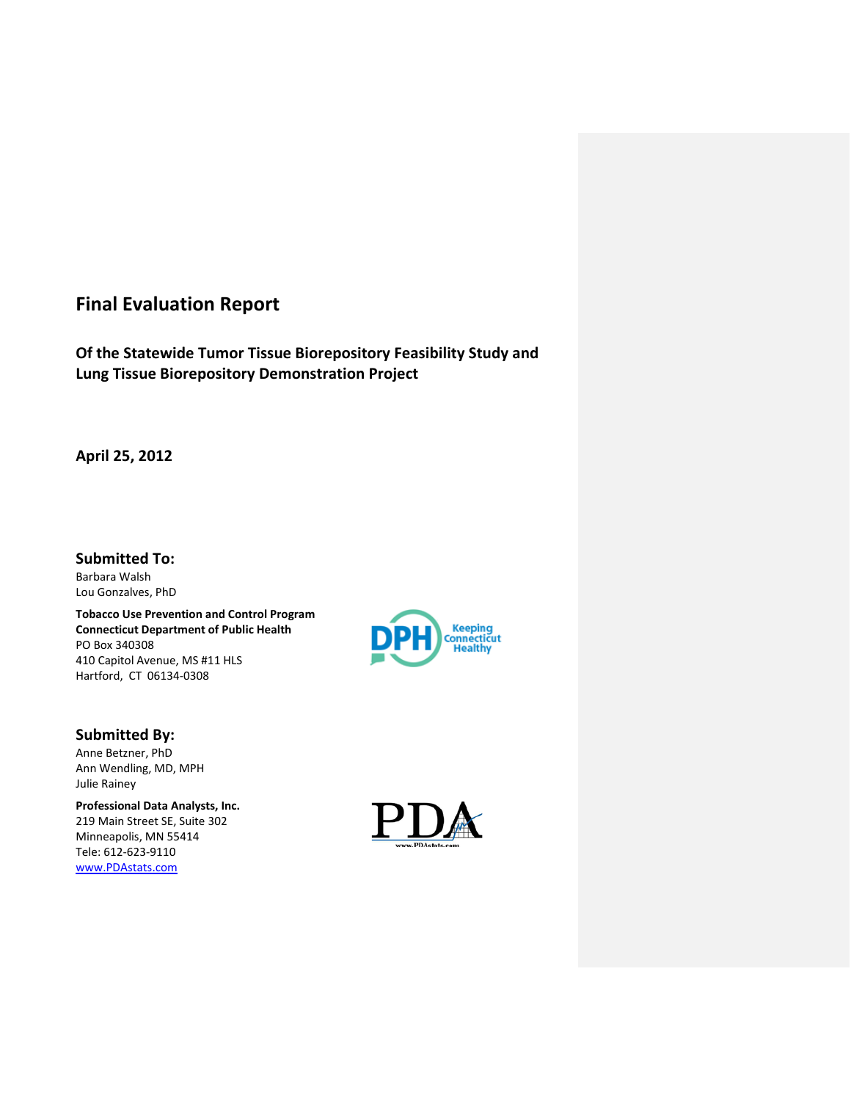# **Final Evaluation Report**

**Of the Statewide Tumor Tissue Biorepository Feasibility Study and Lung Tissue Biorepository Demonstration Project**

**April 25, 2012**

**Submitted To:** Barbara Walsh Lou Gonzalves, PhD

**Tobacco Use Prevention and Control Program Connecticut Department of Public Health** PO Box 340308 410 Capitol Avenue, MS #11 HLS Hartford, CT 06134-0308



# **Submitted By:**

Anne Betzner, PhD Ann Wendling, MD, MPH Julie Rainey

**Professional Data Analysts, Inc.** 219 Main Street SE, Suite 302 Minneapolis, MN 55414 Tele: 612-623-9110 [www.PDAstats.com](http://www.pdastats.com/)

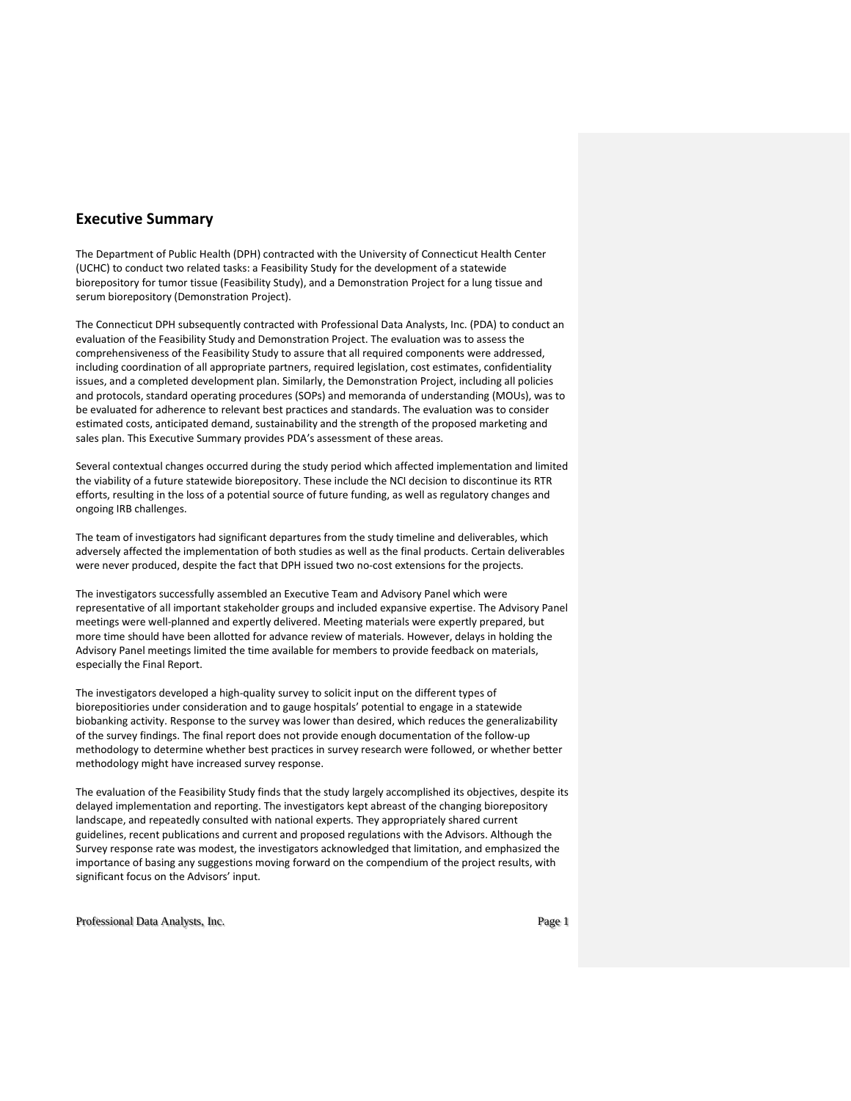# **Executive Summary**

The Department of Public Health (DPH) contracted with the University of Connecticut Health Center (UCHC) to conduct two related tasks: a Feasibility Study for the development of a statewide biorepository for tumor tissue (Feasibility Study), and a Demonstration Project for a lung tissue and serum biorepository (Demonstration Project).

The Connecticut DPH subsequently contracted with Professional Data Analysts, Inc. (PDA) to conduct an evaluation of the Feasibility Study and Demonstration Project. The evaluation was to assess the comprehensiveness of the Feasibility Study to assure that all required components were addressed, including coordination of all appropriate partners, required legislation, cost estimates, confidentiality issues, and a completed development plan. Similarly, the Demonstration Project, including all policies and protocols, standard operating procedures (SOPs) and memoranda of understanding (MOUs), was to be evaluated for adherence to relevant best practices and standards. The evaluation was to consider estimated costs, anticipated demand, sustainability and the strength of the proposed marketing and sales plan. This Executive Summary provides PDA's assessment of these areas.

Several contextual changes occurred during the study period which affected implementation and limited the viability of a future statewide biorepository. These include the NCI decision to discontinue its RTR efforts, resulting in the loss of a potential source of future funding, as well as regulatory changes and ongoing IRB challenges.

The team of investigators had significant departures from the study timeline and deliverables, which adversely affected the implementation of both studies as well as the final products. Certain deliverables were never produced, despite the fact that DPH issued two no-cost extensions for the projects.

The investigators successfully assembled an Executive Team and Advisory Panel which were representative of all important stakeholder groups and included expansive expertise. The Advisory Panel meetings were well-planned and expertly delivered. Meeting materials were expertly prepared, but more time should have been allotted for advance review of materials. However, delays in holding the Advisory Panel meetings limited the time available for members to provide feedback on materials, especially the Final Report.

The investigators developed a high-quality survey to solicit input on the different types of biorepositiories under consideration and to gauge hospitals' potential to engage in a statewide biobanking activity. Response to the survey was lower than desired, which reduces the generalizability of the survey findings. The final report does not provide enough documentation of the follow-up methodology to determine whether best practices in survey research were followed, or whether better methodology might have increased survey response.

The evaluation of the Feasibility Study finds that the study largely accomplished its objectives, despite its delayed implementation and reporting. The investigators kept abreast of the changing biorepository landscape, and repeatedly consulted with national experts. They appropriately shared current guidelines, recent publications and current and proposed regulations with the Advisors. Although the Survey response rate was modest, the investigators acknowledged that limitation, and emphasized the importance of basing any suggestions moving forward on the compendium of the project results, with significant focus on the Advisors' input.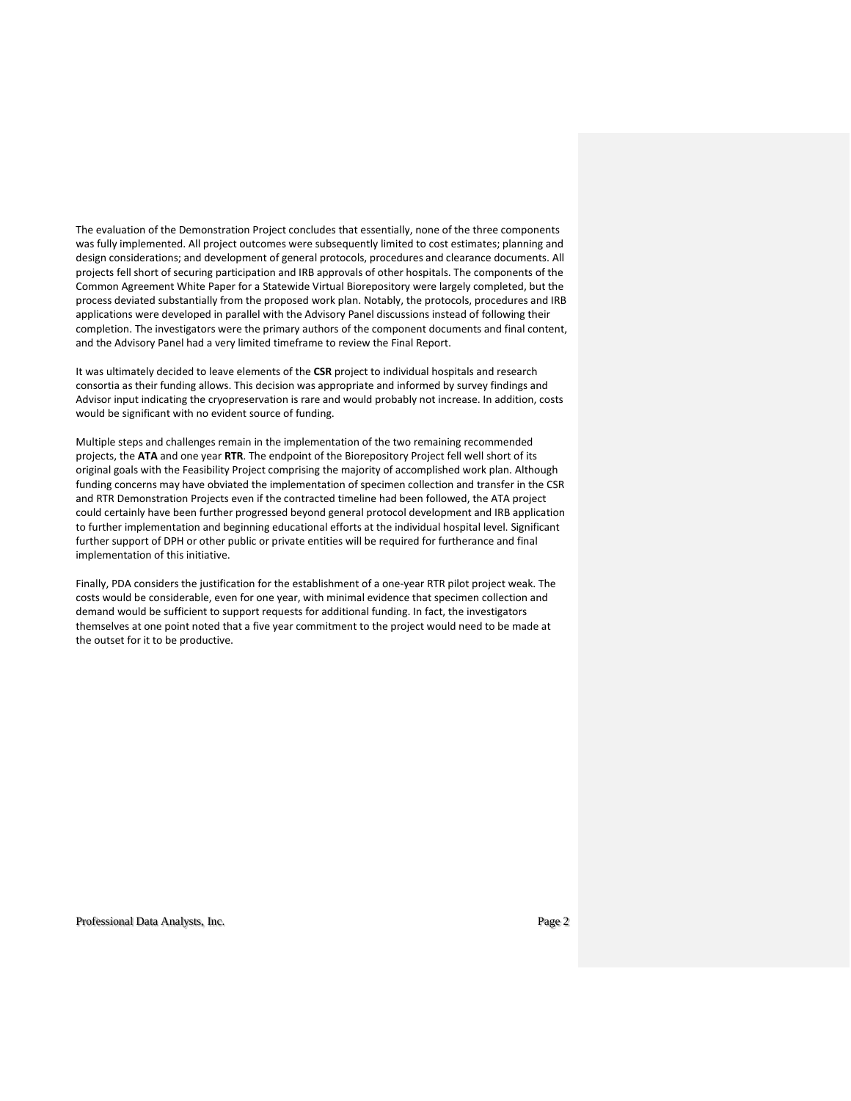The evaluation of the Demonstration Project concludes that essentially, none of the three components was fully implemented. All project outcomes were subsequently limited to cost estimates; planning and design considerations; and development of general protocols, procedures and clearance documents. All projects fell short of securing participation and IRB approvals of other hospitals. The components of the Common Agreement White Paper for a Statewide Virtual Biorepository were largely completed, but the process deviated substantially from the proposed work plan. Notably, the protocols, procedures and IRB applications were developed in parallel with the Advisory Panel discussions instead of following their completion. The investigators were the primary authors of the component documents and final content, and the Advisory Panel had a very limited timeframe to review the Final Report.

It was ultimately decided to leave elements of the **CSR** project to individual hospitals and research consortia as their funding allows. This decision was appropriate and informed by survey findings and Advisor input indicating the cryopreservation is rare and would probably not increase. In addition, costs would be significant with no evident source of funding.

Multiple steps and challenges remain in the implementation of the two remaining recommended projects, the **ATA** and one year **RTR**. The endpoint of the Biorepository Project fell well short of its original goals with the Feasibility Project comprising the majority of accomplished work plan. Although funding concerns may have obviated the implementation of specimen collection and transfer in the CSR and RTR Demonstration Projects even if the contracted timeline had been followed, the ATA project could certainly have been further progressed beyond general protocol development and IRB application to further implementation and beginning educational efforts at the individual hospital level. Significant further support of DPH or other public or private entities will be required for furtherance and final implementation of this initiative.

Finally, PDA considers the justification for the establishment of a one-year RTR pilot project weak. The costs would be considerable, even for one year, with minimal evidence that specimen collection and demand would be sufficient to support requests for additional funding. In fact, the investigators themselves at one point noted that a five year commitment to the project would need to be made at the outset for it to be productive.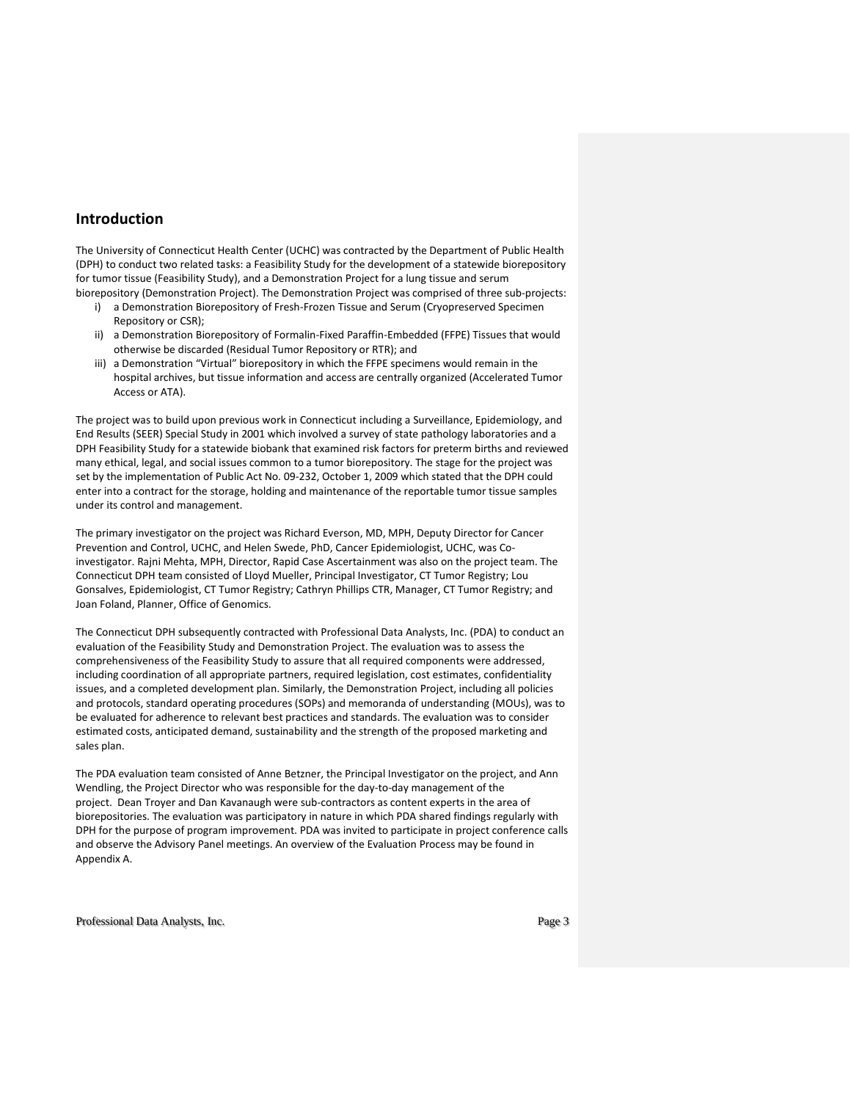## **Introduction**

The University of Connecticut Health Center (UCHC) was contracted by the Department of Public Health (DPH) to conduct two related tasks: a Feasibility Study for the development of a statewide biorepository for tumor tissue (Feasibility Study), and a Demonstration Project for a lung tissue and serum biorepository (Demonstration Project). The Demonstration Project was comprised of three sub-projects:

- i) a Demonstration Biorepository of Fresh-Frozen Tissue and Serum (Cryopreserved Specimen Repository or CSR);
- ii) a Demonstration Biorepository of Formalin-Fixed Paraffin-Embedded (FFPE) Tissues that would otherwise be discarded (Residual Tumor Repository or RTR); and
- iii) a Demonstration "Virtual" biorepository in which the FFPE specimens would remain in the hospital archives, but tissue information and access are centrally organized (Accelerated Tumor Access or ATA).

The project was to build upon previous work in Connecticut including a Surveillance, Epidemiology, and End Results (SEER) Special Study in 2001 which involved a survey of state pathology laboratories and a DPH Feasibility Study for a statewide biobank that examined risk factors for preterm births and reviewed many ethical, legal, and social issues common to a tumor biorepository. The stage for the project was set by the implementation of Public Act No. 09-232, October 1, 2009 which stated that the DPH could enter into a contract for the storage, holding and maintenance of the reportable tumor tissue samples under its control and management.

The primary investigator on the project was Richard Everson, MD, MPH, Deputy Director for Cancer Prevention and Control, UCHC, and Helen Swede, PhD, Cancer Epidemiologist, UCHC, was Coinvestigator. Rajni Mehta, MPH, Director, Rapid Case Ascertainment was also on the project team. The Connecticut DPH team consisted of Lloyd Mueller, Principal Investigator, CT Tumor Registry; Lou Gonsalves, Epidemiologist, CT Tumor Registry; Cathryn Phillips CTR, Manager, CT Tumor Registry; and Joan Foland, Planner, Office of Genomics.

The Connecticut DPH subsequently contracted with Professional Data Analysts, Inc. (PDA) to conduct an evaluation of the Feasibility Study and Demonstration Project. The evaluation was to assess the comprehensiveness of the Feasibility Study to assure that all required components were addressed, including coordination of all appropriate partners, required legislation, cost estimates, confidentiality issues, and a completed development plan. Similarly, the Demonstration Project, including all policies and protocols, standard operating procedures (SOPs) and memoranda of understanding (MOUs), was to be evaluated for adherence to relevant best practices and standards. The evaluation was to consider estimated costs, anticipated demand, sustainability and the strength of the proposed marketing and sales plan.

The PDA evaluation team consisted of Anne Betzner, the Principal Investigator on the project, and Ann Wendling, the Project Director who was responsible for the day-to-day management of the project. Dean Troyer and Dan Kavanaugh were sub-contractors as content experts in the area of biorepositories. The evaluation was participatory in nature in which PDA shared findings regularly with DPH for the purpose of program improvement. PDA was invited to participate in project conference calls and observe the Advisory Panel meetings. An overview of the Evaluation Process may be found in Appendix A.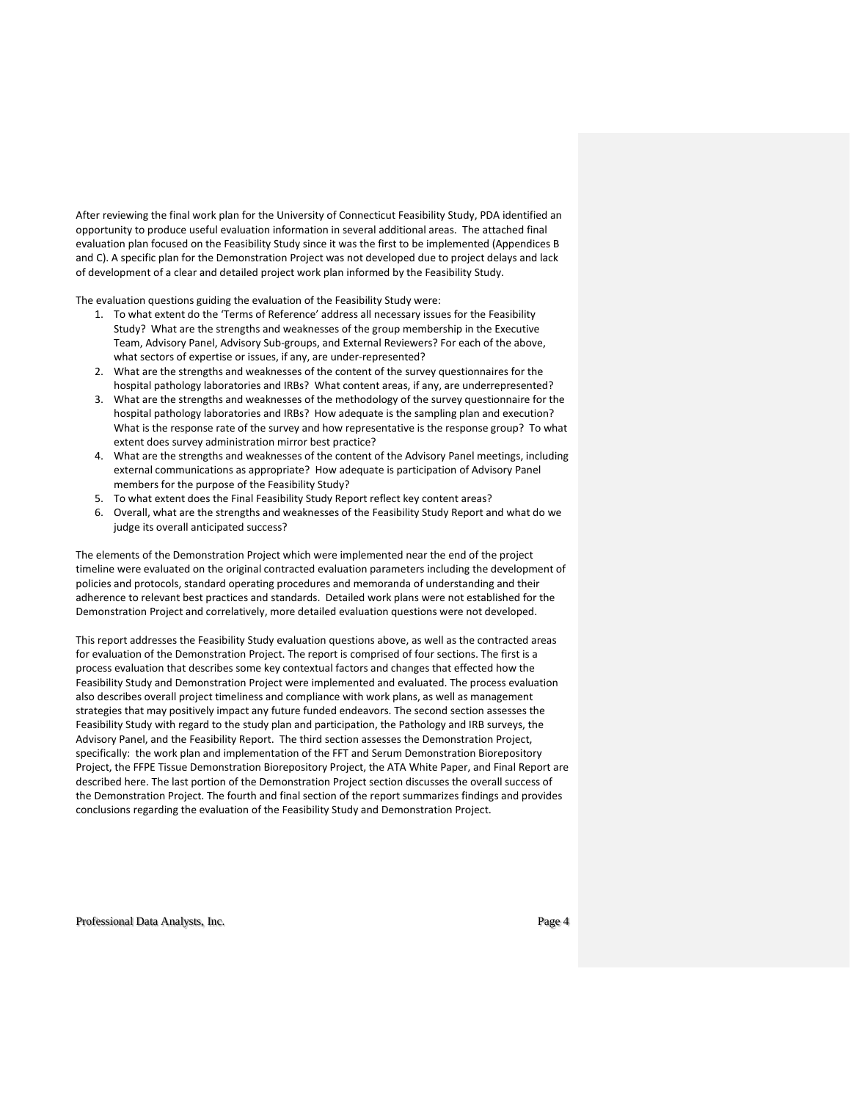After reviewing the final work plan for the University of Connecticut Feasibility Study, PDA identified an opportunity to produce useful evaluation information in several additional areas. The attached final evaluation plan focused on the Feasibility Study since it was the first to be implemented (Appendices B and C). A specific plan for the Demonstration Project was not developed due to project delays and lack of development of a clear and detailed project work plan informed by the Feasibility Study.

The evaluation questions guiding the evaluation of the Feasibility Study were:

- 1. To what extent do the 'Terms of Reference' address all necessary issues for the Feasibility Study? What are the strengths and weaknesses of the group membership in the Executive Team, Advisory Panel, Advisory Sub-groups, and External Reviewers? For each of the above, what sectors of expertise or issues, if any, are under-represented?
- 2. What are the strengths and weaknesses of the content of the survey questionnaires for the hospital pathology laboratories and IRBs? What content areas, if any, are underrepresented?
- 3. What are the strengths and weaknesses of the methodology of the survey questionnaire for the hospital pathology laboratories and IRBs? How adequate is the sampling plan and execution? What is the response rate of the survey and how representative is the response group? To what extent does survey administration mirror best practice?
- 4. What are the strengths and weaknesses of the content of the Advisory Panel meetings, including external communications as appropriate? How adequate is participation of Advisory Panel members for the purpose of the Feasibility Study?
- 5. To what extent does the Final Feasibility Study Report reflect key content areas?
- 6. Overall, what are the strengths and weaknesses of the Feasibility Study Report and what do we judge its overall anticipated success?

The elements of the Demonstration Project which were implemented near the end of the project timeline were evaluated on the original contracted evaluation parameters including the development of policies and protocols, standard operating procedures and memoranda of understanding and their adherence to relevant best practices and standards. Detailed work plans were not established for the Demonstration Project and correlatively, more detailed evaluation questions were not developed.

This report addresses the Feasibility Study evaluation questions above, as well as the contracted areas for evaluation of the Demonstration Project. The report is comprised of four sections. The first is a process evaluation that describes some key contextual factors and changes that effected how the Feasibility Study and Demonstration Project were implemented and evaluated. The process evaluation also describes overall project timeliness and compliance with work plans, as well as management strategies that may positively impact any future funded endeavors. The second section assesses the Feasibility Study with regard to the study plan and participation, the Pathology and IRB surveys, the Advisory Panel, and the Feasibility Report. The third section assesses the Demonstration Project, specifically: the work plan and implementation of the FFT and Serum Demonstration Biorepository Project, the FFPE Tissue Demonstration Biorepository Project, the ATA White Paper, and Final Report are described here. The last portion of the Demonstration Project section discusses the overall success of the Demonstration Project. The fourth and final section of the report summarizes findings and provides conclusions regarding the evaluation of the Feasibility Study and Demonstration Project.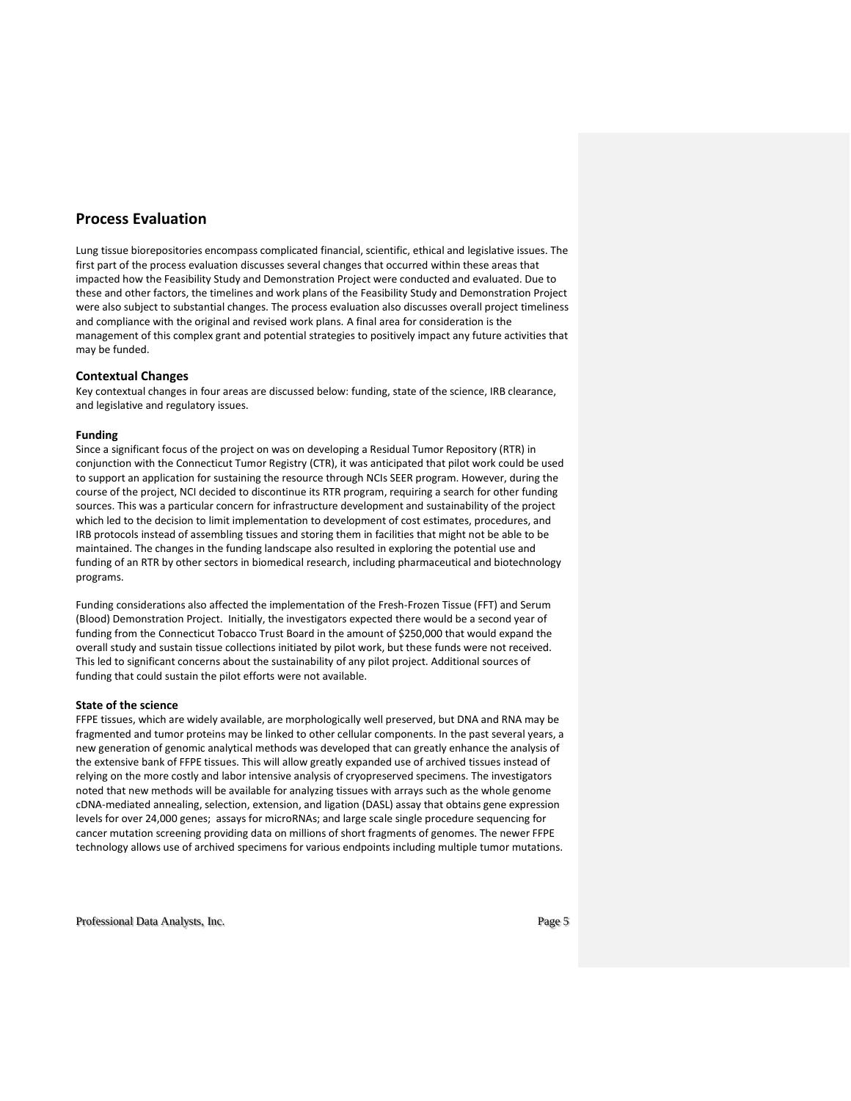# **Process Evaluation**

Lung tissue biorepositories encompass complicated financial, scientific, ethical and legislative issues. The first part of the process evaluation discusses several changes that occurred within these areas that impacted how the Feasibility Study and Demonstration Project were conducted and evaluated. Due to these and other factors, the timelines and work plans of the Feasibility Study and Demonstration Project were also subject to substantial changes. The process evaluation also discusses overall project timeliness and compliance with the original and revised work plans. A final area for consideration is the management of this complex grant and potential strategies to positively impact any future activities that may be funded.

### **Contextual Changes**

Key contextual changes in four areas are discussed below: funding, state of the science, IRB clearance, and legislative and regulatory issues.

### **Funding**

Since a significant focus of the project on was on developing a Residual Tumor Repository (RTR) in conjunction with the Connecticut Tumor Registry (CTR), it was anticipated that pilot work could be used to support an application for sustaining the resource through NCIs SEER program. However, during the course of the project, NCI decided to discontinue its RTR program, requiring a search for other funding sources. This was a particular concern for infrastructure development and sustainability of the project which led to the decision to limit implementation to development of cost estimates, procedures, and IRB protocols instead of assembling tissues and storing them in facilities that might not be able to be maintained. The changes in the funding landscape also resulted in exploring the potential use and funding of an RTR by other sectors in biomedical research, including pharmaceutical and biotechnology programs.

Funding considerations also affected the implementation of the Fresh-Frozen Tissue (FFT) and Serum (Blood) Demonstration Project. Initially, the investigators expected there would be a second year of funding from the Connecticut Tobacco Trust Board in the amount of \$250,000 that would expand the overall study and sustain tissue collections initiated by pilot work, but these funds were not received. This led to significant concerns about the sustainability of any pilot project. Additional sources of funding that could sustain the pilot efforts were not available.

### **State of the science**

FFPE tissues, which are widely available, are morphologically well preserved, but DNA and RNA may be fragmented and tumor proteins may be linked to other cellular components. In the past several years, a new generation of genomic analytical methods was developed that can greatly enhance the analysis of the extensive bank of FFPE tissues. This will allow greatly expanded use of archived tissues instead of relying on the more costly and labor intensive analysis of cryopreserved specimens. The investigators noted that new methods will be available for analyzing tissues with arrays such as the whole genome cDNA-mediated annealing, selection, extension, and ligation (DASL) assay that obtains gene expression levels for over 24,000 genes; assays for microRNAs; and large scale single procedure sequencing for cancer mutation screening providing data on millions of short fragments of genomes. The newer FFPE technology allows use of archived specimens for various endpoints including multiple tumor mutations.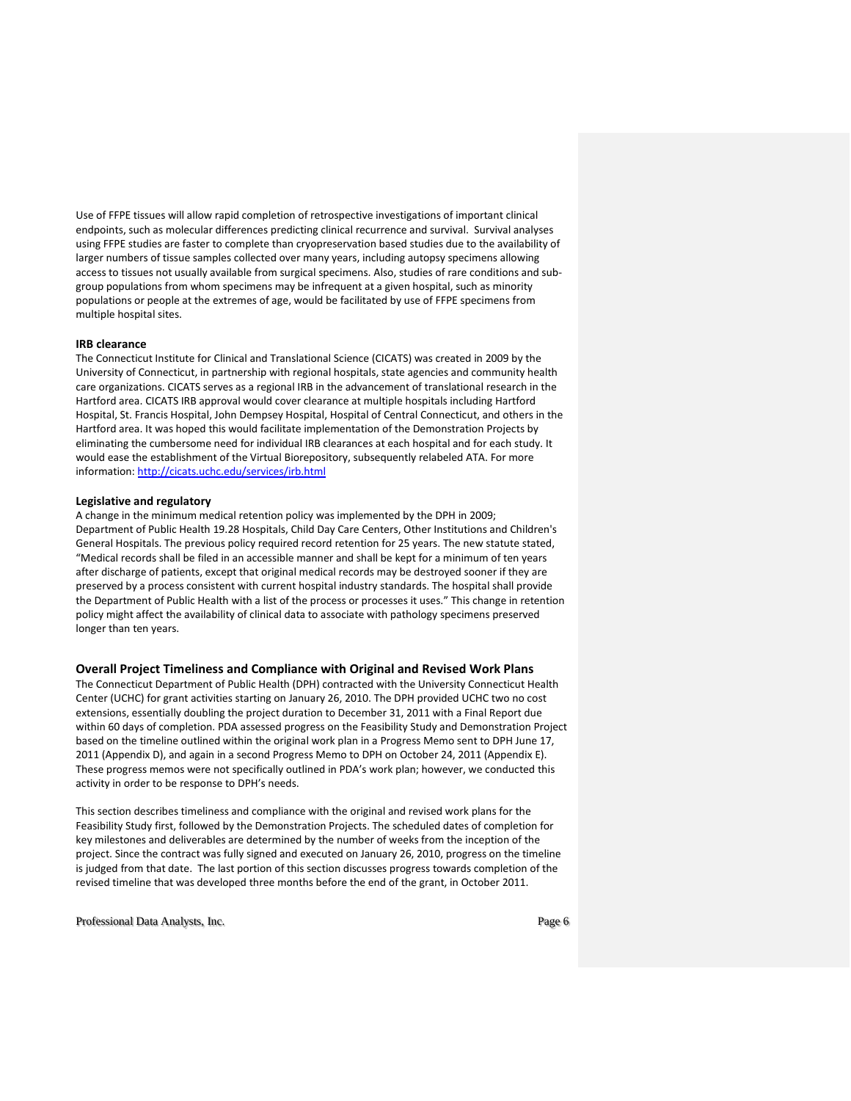Use of FFPE tissues will allow rapid completion of retrospective investigations of important clinical endpoints, such as molecular differences predicting clinical recurrence and survival. Survival analyses using FFPE studies are faster to complete than cryopreservation based studies due to the availability of larger numbers of tissue samples collected over many years, including autopsy specimens allowing access to tissues not usually available from surgical specimens. Also, studies of rare conditions and subgroup populations from whom specimens may be infrequent at a given hospital, such as minority populations or people at the extremes of age, would be facilitated by use of FFPE specimens from multiple hospital sites.

### **IRB clearance**

The Connecticut Institute for Clinical and Translational Science (CICATS) was created in 2009 by the University of Connecticut, in [partnership](http://cicats.uchc.edu/about/partners.html) with regional hospitals, state agencies and community health care organizations. CICATS serves as a regional IRB in the advancement of translational research in the Hartford area. CICATS IRB approval would cover clearance at multiple hospitals including Hartford Hospital, St. Francis Hospital, John Dempsey Hospital, Hospital of Central Connecticut, and others in the Hartford area. It was hoped this would facilitate implementation of the Demonstration Projects by eliminating the cumbersome need for individual IRB clearances at each hospital and for each study. It would ease the establishment of the Virtual Biorepository, subsequently relabeled ATA. For more information[: http://cicats.uchc.edu/services/irb.html](http://cicats.uchc.edu/services/irb.html)

#### **Legislative and regulatory**

A change in the minimum medical retention policy was implemented by the DPH in 2009; Department of Public Health 19.28 Hospitals, Child Day Care Centers, Other Institutions and Children's General Hospitals. The previous policy required record retention for 25 years. The new statute stated, "Medical records shall be filed in an accessible manner and shall be kept for a minimum of ten years after discharge of patients, except that original medical records may be destroyed sooner if they are preserved by a process consistent with current hospital industry standards. The hospital shall provide the Department of Public Health with a list of the process or processes it uses." This change in retention policy might affect the availability of clinical data to associate with pathology specimens preserved longer than ten years.

#### **Overall Project Timeliness and Compliance with Original and Revised Work Plans**

The Connecticut Department of Public Health (DPH) contracted with the University Connecticut Health Center (UCHC) for grant activities starting on January 26, 2010. The DPH provided UCHC two no cost extensions, essentially doubling the project duration to December 31, 2011 with a Final Report due within 60 days of completion. PDA assessed progress on the Feasibility Study and Demonstration Project based on the timeline outlined within the original work plan in a Progress Memo sent to DPH June 17, 2011 (Appendix D), and again in a second Progress Memo to DPH on October 24, 2011 (Appendix E). These progress memos were not specifically outlined in PDA's work plan; however, we conducted this activity in order to be response to DPH's needs.

This section describes timeliness and compliance with the original and revised work plans for the Feasibility Study first, followed by the Demonstration Projects. The scheduled dates of completion for key milestones and deliverables are determined by the number of weeks from the inception of the project. Since the contract was fully signed and executed on January 26, 2010, progress on the timeline is judged from that date. The last portion of this section discusses progress towards completion of the revised timeline that was developed three months before the end of the grant, in October 2011.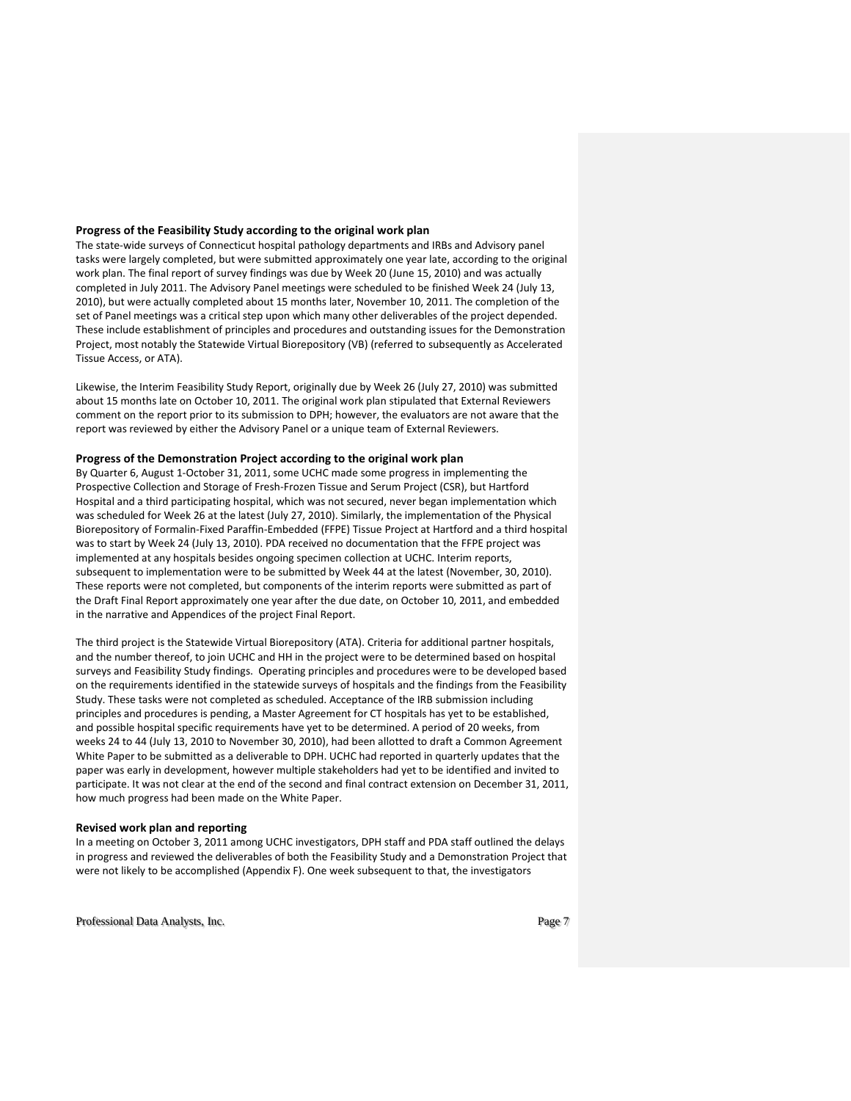### **Progress of the Feasibility Study according to the original work plan**

The state-wide surveys of Connecticut hospital pathology departments and IRBs and Advisory panel tasks were largely completed, but were submitted approximately one year late, according to the original work plan. The final report of survey findings was due by Week 20 (June 15, 2010) and was actually completed in July 2011. The Advisory Panel meetings were scheduled to be finished Week 24 (July 13, 2010), but were actually completed about 15 months later, November 10, 2011. The completion of the set of Panel meetings was a critical step upon which many other deliverables of the project depended. These include establishment of principles and procedures and outstanding issues for the Demonstration Project, most notably the Statewide Virtual Biorepository (VB) (referred to subsequently as Accelerated Tissue Access, or ATA).

Likewise, the Interim Feasibility Study Report, originally due by Week 26 (July 27, 2010) was submitted about 15 months late on October 10, 2011. The original work plan stipulated that External Reviewers comment on the report prior to its submission to DPH; however, the evaluators are not aware that the report was reviewed by either the Advisory Panel or a unique team of External Reviewers.

### **Progress of the Demonstration Project according to the original work plan**

By Quarter 6, August 1-October 31, 2011, some UCHC made some progress in implementing the Prospective Collection and Storage of Fresh-Frozen Tissue and Serum Project (CSR), but Hartford Hospital and a third participating hospital, which was not secured, never began implementation which was scheduled for Week 26 at the latest (July 27, 2010). Similarly, the implementation of the Physical Biorepository of Formalin-Fixed Paraffin-Embedded (FFPE) Tissue Project at Hartford and a third hospital was to start by Week 24 (July 13, 2010). PDA received no documentation that the FFPE project was implemented at any hospitals besides ongoing specimen collection at UCHC. Interim reports, subsequent to implementation were to be submitted by Week 44 at the latest (November, 30, 2010). These reports were not completed, but components of the interim reports were submitted as part of the Draft Final Report approximately one year after the due date, on October 10, 2011, and embedded in the narrative and Appendices of the project Final Report.

The third project is the Statewide Virtual Biorepository (ATA). Criteria for additional partner hospitals, and the number thereof, to join UCHC and HH in the project were to be determined based on hospital surveys and Feasibility Study findings. Operating principles and procedures were to be developed based on the requirements identified in the statewide surveys of hospitals and the findings from the Feasibility Study. These tasks were not completed as scheduled. Acceptance of the IRB submission including principles and procedures is pending, a Master Agreement for CT hospitals has yet to be established, and possible hospital specific requirements have yet to be determined. A period of 20 weeks, from weeks 24 to 44 (July 13, 2010 to November 30, 2010), had been allotted to draft a Common Agreement White Paper to be submitted as a deliverable to DPH. UCHC had reported in quarterly updates that the paper was early in development, however multiple stakeholders had yet to be identified and invited to participate. It was not clear at the end of the second and final contract extension on December 31, 2011, how much progress had been made on the White Paper.

#### **Revised work plan and reporting**

In a meeting on October 3, 2011 among UCHC investigators, DPH staff and PDA staff outlined the delays in progress and reviewed the deliverables of both the Feasibility Study and a Demonstration Project that were not likely to be accomplished (Appendix F). One week subsequent to that, the investigators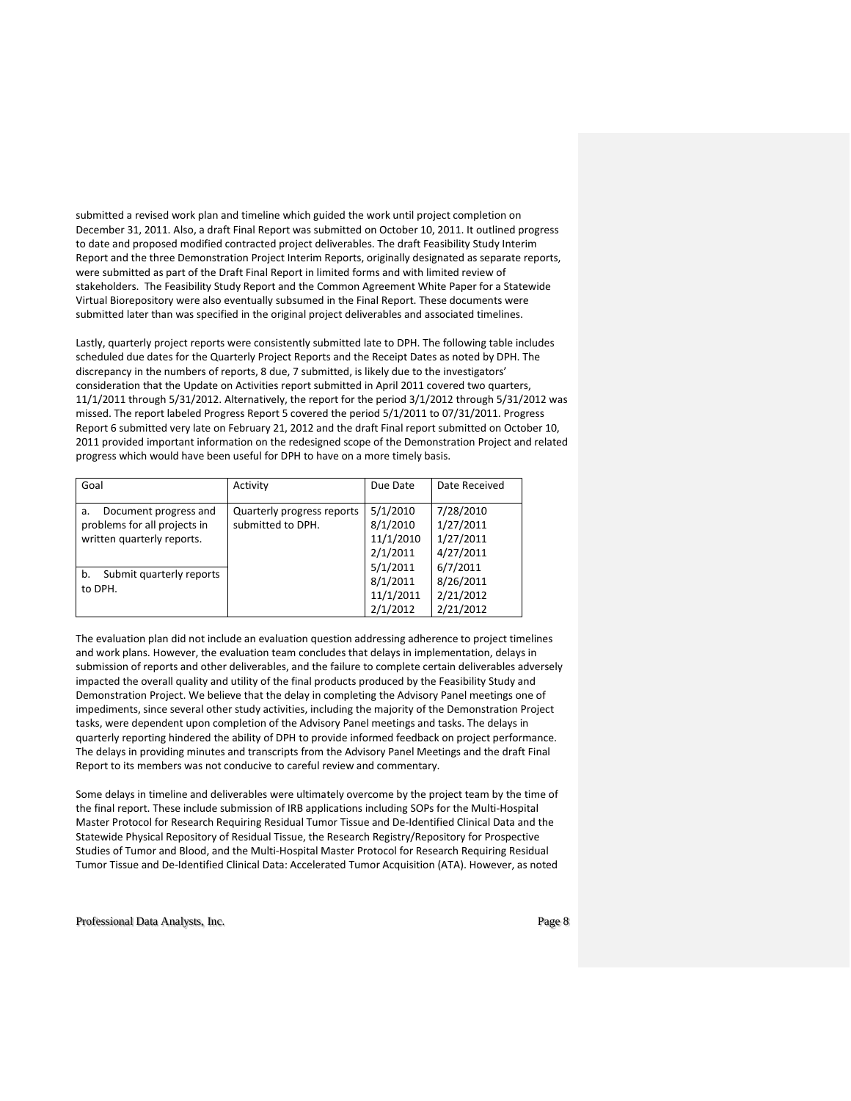submitted a revised work plan and timeline which guided the work until project completion on December 31, 2011. Also, a draft Final Report was submitted on October 10, 2011. It outlined progress to date and proposed modified contracted project deliverables. The draft Feasibility Study Interim Report and the three Demonstration Project Interim Reports, originally designated as separate reports, were submitted as part of the Draft Final Report in limited forms and with limited review of stakeholders. The Feasibility Study Report and the Common Agreement White Paper for a Statewide Virtual Biorepository were also eventually subsumed in the Final Report. These documents were submitted later than was specified in the original project deliverables and associated timelines.

Lastly, quarterly project reports were consistently submitted late to DPH. The following table includes scheduled due dates for the Quarterly Project Reports and the Receipt Dates as noted by DPH. The discrepancy in the numbers of reports, 8 due, 7 submitted, is likely due to the investigators' consideration that the Update on Activities report submitted in April 2011 covered two quarters, 11/1/2011 through 5/31/2012. Alternatively, the report for the period 3/1/2012 through 5/31/2012 was missed. The report labeled Progress Report 5 covered the period 5/1/2011 to 07/31/2011. Progress Report 6 submitted very late on February 21, 2012 and the draft Final report submitted on October 10, 2011 provided important information on the redesigned scope of the Demonstration Project and related progress which would have been useful for DPH to have on a more timely basis.

| Goal                                                       | Activity                   | Due Date  | Date Received |
|------------------------------------------------------------|----------------------------|-----------|---------------|
| Document progress and<br>a.                                | Quarterly progress reports | 5/1/2010  | 7/28/2010     |
| problems for all projects in<br>written quarterly reports. | submitted to DPH.          | 8/1/2010  | 1/27/2011     |
|                                                            |                            | 11/1/2010 | 1/27/2011     |
|                                                            |                            | 2/1/2011  | 4/27/2011     |
| Submit quarterly reports<br>b.<br>to DPH.                  |                            | 5/1/2011  | 6/7/2011      |
|                                                            |                            | 8/1/2011  | 8/26/2011     |
|                                                            |                            | 11/1/2011 | 2/21/2012     |
|                                                            |                            | 2/1/2012  | 2/21/2012     |

The evaluation plan did not include an evaluation question addressing adherence to project timelines and work plans. However, the evaluation team concludes that delays in implementation, delays in submission of reports and other deliverables, and the failure to complete certain deliverables adversely impacted the overall quality and utility of the final products produced by the Feasibility Study and Demonstration Project. We believe that the delay in completing the Advisory Panel meetings one of impediments, since several other study activities, including the majority of the Demonstration Project tasks, were dependent upon completion of the Advisory Panel meetings and tasks. The delays in quarterly reporting hindered the ability of DPH to provide informed feedback on project performance. The delays in providing minutes and transcripts from the Advisory Panel Meetings and the draft Final Report to its members was not conducive to careful review and commentary.

Some delays in timeline and deliverables were ultimately overcome by the project team by the time of the final report. These include submission of IRB applications including SOPs for the Multi-Hospital Master Protocol for Research Requiring Residual Tumor Tissue and De-Identified Clinical Data and the Statewide Physical Repository of Residual Tissue, the Research Registry/Repository for Prospective Studies of Tumor and Blood, and the Multi-Hospital Master Protocol for Research Requiring Residual Tumor Tissue and De-Identified Clinical Data: Accelerated Tumor Acquisition (ATA). However, as noted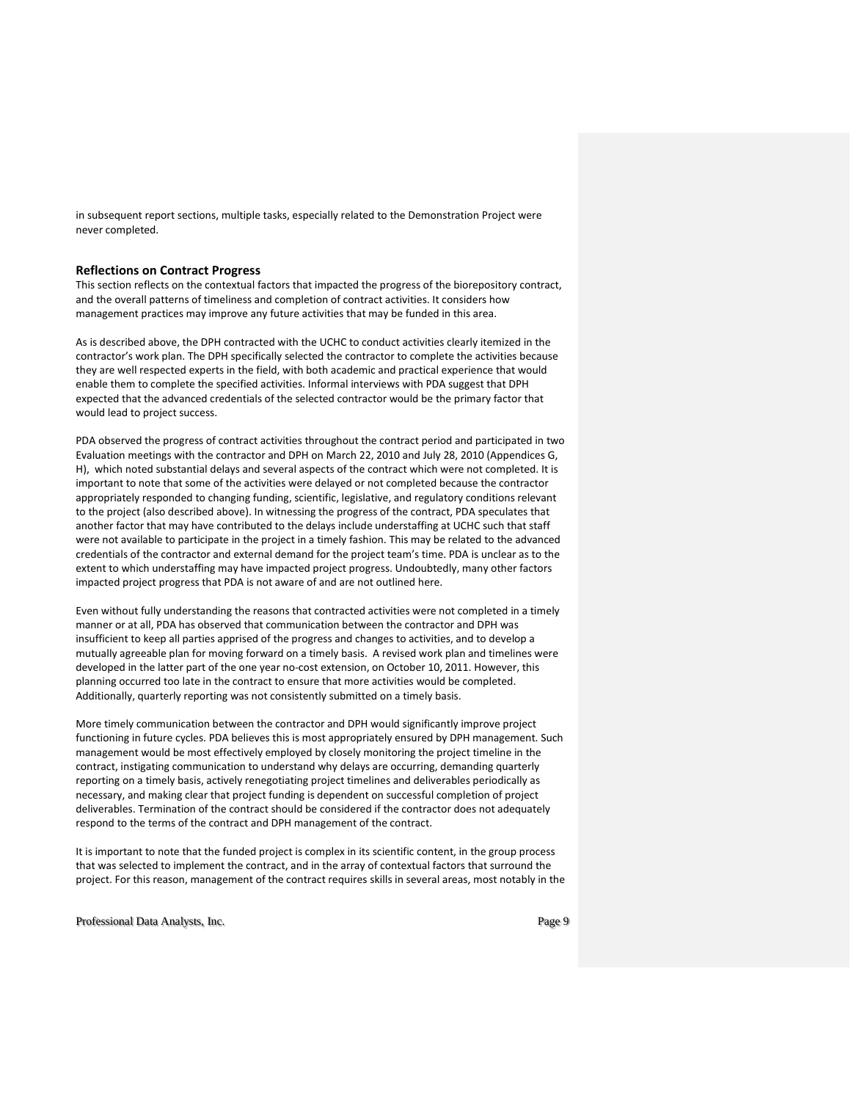in subsequent report sections, multiple tasks, especially related to the Demonstration Project were never completed.

### **Reflections on Contract Progress**

This section reflects on the contextual factors that impacted the progress of the biorepository contract, and the overall patterns of timeliness and completion of contract activities. It considers how management practices may improve any future activities that may be funded in this area.

As is described above, the DPH contracted with the UCHC to conduct activities clearly itemized in the contractor's work plan. The DPH specifically selected the contractor to complete the activities because they are well respected experts in the field, with both academic and practical experience that would enable them to complete the specified activities. Informal interviews with PDA suggest that DPH expected that the advanced credentials of the selected contractor would be the primary factor that would lead to project success.

PDA observed the progress of contract activities throughout the contract period and participated in two Evaluation meetings with the contractor and DPH on March 22, 2010 and July 28, 2010 (Appendices G, H), which noted substantial delays and several aspects of the contract which were not completed. It is important to note that some of the activities were delayed or not completed because the contractor appropriately responded to changing funding, scientific, legislative, and regulatory conditions relevant to the project (also described above). In witnessing the progress of the contract, PDA speculates that another factor that may have contributed to the delays include understaffing at UCHC such that staff were not available to participate in the project in a timely fashion. This may be related to the advanced credentials of the contractor and external demand for the project team's time. PDA is unclear as to the extent to which understaffing may have impacted project progress. Undoubtedly, many other factors impacted project progress that PDA is not aware of and are not outlined here.

Even without fully understanding the reasons that contracted activities were not completed in a timely manner or at all, PDA has observed that communication between the contractor and DPH was insufficient to keep all parties apprised of the progress and changes to activities, and to develop a mutually agreeable plan for moving forward on a timely basis. A revised work plan and timelines were developed in the latter part of the one year no-cost extension, on October 10, 2011. However, this planning occurred too late in the contract to ensure that more activities would be completed. Additionally, quarterly reporting was not consistently submitted on a timely basis.

More timely communication between the contractor and DPH would significantly improve project functioning in future cycles. PDA believes this is most appropriately ensured by DPH management. Such management would be most effectively employed by closely monitoring the project timeline in the contract, instigating communication to understand why delays are occurring, demanding quarterly reporting on a timely basis, actively renegotiating project timelines and deliverables periodically as necessary, and making clear that project funding is dependent on successful completion of project deliverables. Termination of the contract should be considered if the contractor does not adequately respond to the terms of the contract and DPH management of the contract.

It is important to note that the funded project is complex in its scientific content, in the group process that was selected to implement the contract, and in the array of contextual factors that surround the project. For this reason, management of the contract requires skills in several areas, most notably in the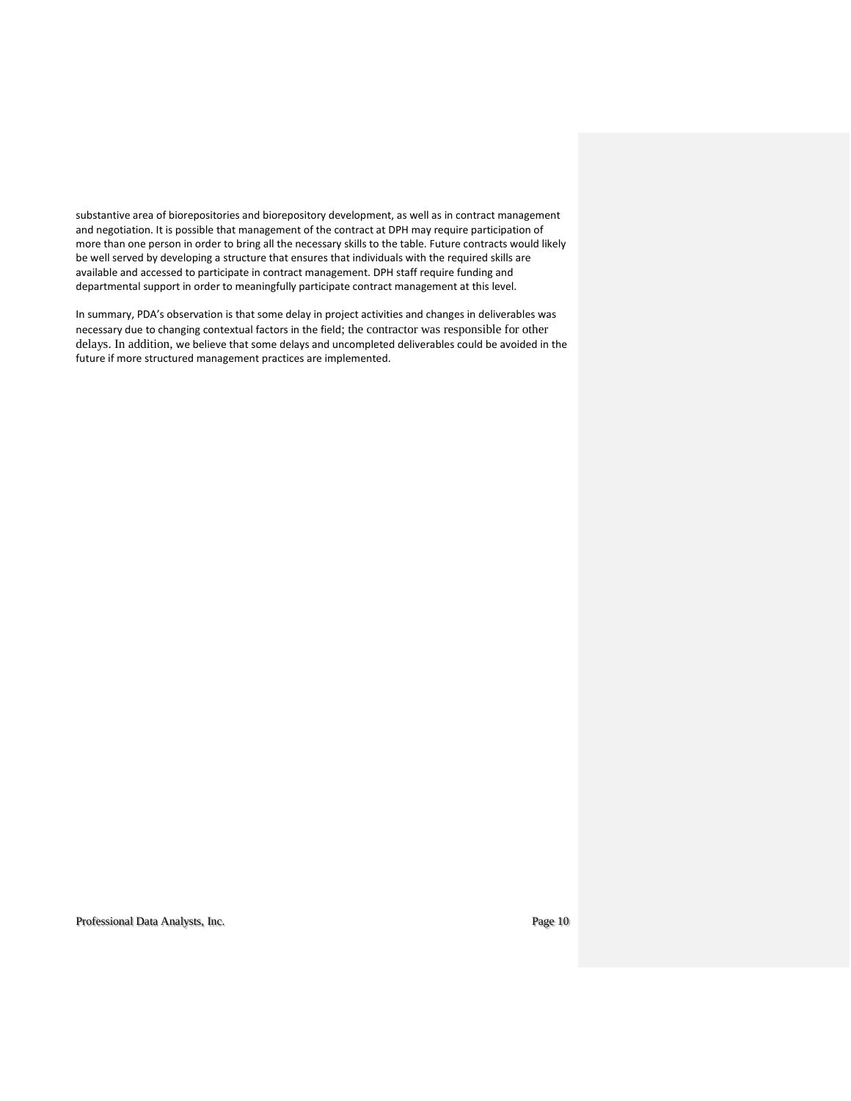substantive area of biorepositories and biorepository development, as well as in contract management and negotiation. It is possible that management of the contract at DPH may require participation of more than one person in order to bring all the necessary skills to the table. Future contracts would likely be well served by developing a structure that ensures that individuals with the required skills are available and accessed to participate in contract management. DPH staff require funding and departmental support in order to meaningfully participate contract management at this level.

In summary, PDA's observation is that some delay in project activities and changes in deliverables was necessary due to changing contextual factors in the field; the contractor was responsible for other delays. In addition, we believe that some delays and uncompleted deliverables could be avoided in the future if more structured management practices are implemented.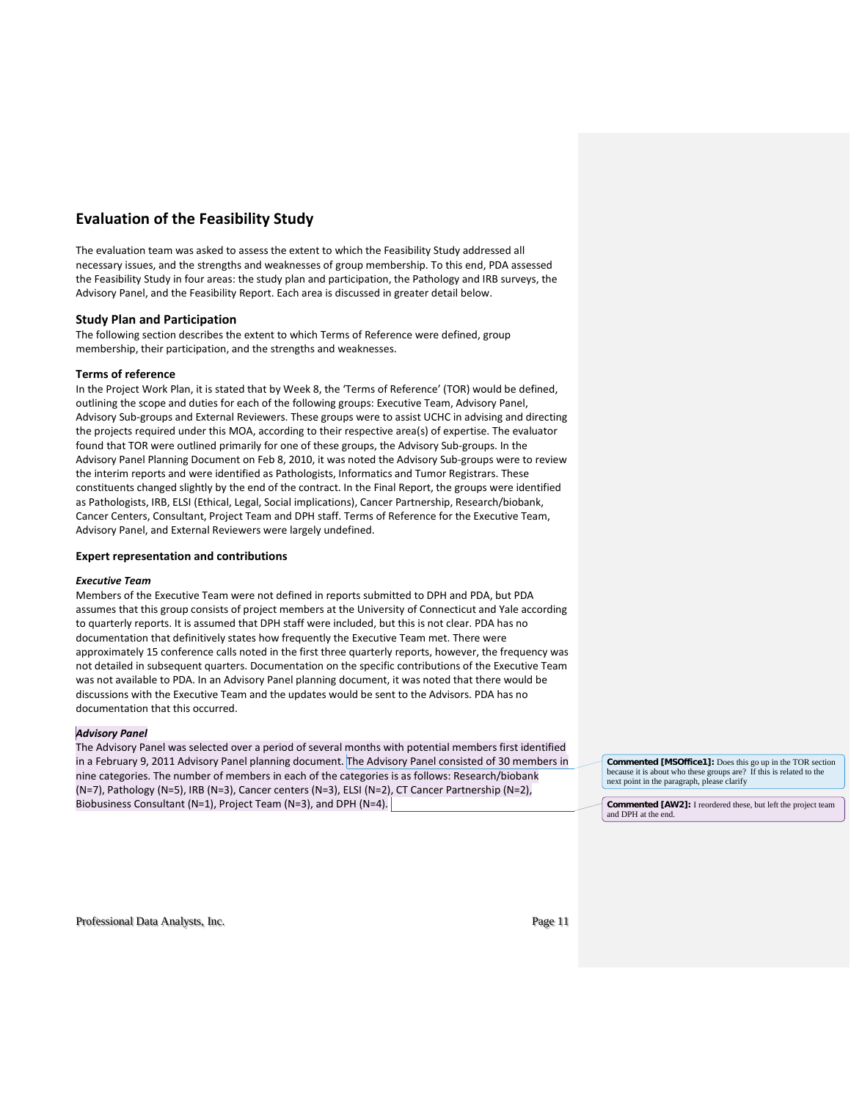# **Evaluation of the Feasibility Study**

The evaluation team was asked to assess the extent to which the Feasibility Study addressed all necessary issues, and the strengths and weaknesses of group membership. To this end, PDA assessed the Feasibility Study in four areas: the study plan and participation, the Pathology and IRB surveys, the Advisory Panel, and the Feasibility Report. Each area is discussed in greater detail below.

### **Study Plan and Participation**

The following section describes the extent to which Terms of Reference were defined, group membership, their participation, and the strengths and weaknesses.

### **Terms of reference**

In the Project Work Plan, it is stated that by Week 8, the 'Terms of Reference' (TOR) would be defined, outlining the scope and duties for each of the following groups: Executive Team, Advisory Panel, Advisory Sub-groups and External Reviewers. These groups were to assist UCHC in advising and directing the projects required under this MOA, according to their respective area(s) of expertise. The evaluator found that TOR were outlined primarily for one of these groups, the Advisory Sub-groups. In the Advisory Panel Planning Document on Feb 8, 2010, it was noted the Advisory Sub-groups were to review the interim reports and were identified as Pathologists, Informatics and Tumor Registrars. These constituents changed slightly by the end of the contract. In the Final Report, the groups were identified as Pathologists, IRB, ELSI (Ethical, Legal, Social implications), Cancer Partnership, Research/biobank, Cancer Centers, Consultant, Project Team and DPH staff. Terms of Reference for the Executive Team, Advisory Panel, and External Reviewers were largely undefined.

### **Expert representation and contributions**

### *Executive Team*

Members of the Executive Team were not defined in reports submitted to DPH and PDA, but PDA assumes that this group consists of project members at the University of Connecticut and Yale according to quarterly reports. It is assumed that DPH staff were included, but this is not clear. PDA has no documentation that definitively states how frequently the Executive Team met. There were approximately 15 conference calls noted in the first three quarterly reports, however, the frequency was not detailed in subsequent quarters. Documentation on the specific contributions of the Executive Team was not available to PDA. In an Advisory Panel planning document, it was noted that there would be discussions with the Executive Team and the updates would be sent to the Advisors. PDA has no documentation that this occurred.

### *Advisory Panel*

The Advisory Panel was selected over a period of several months with potential members first identified in a February 9, 2011 Advisory Panel planning document. The Advisory Panel consisted of 30 members in nine categories. The number of members in each of the categories is as follows: Research/biobank (N=7), Pathology (N=5), IRB (N=3), Cancer centers (N=3), ELSI (N=2), CT Cancer Partnership (N=2), Biobusiness Consultant (N=1), Project Team (N=3), and DPH (N=4).

**Commented [MSOffice1]:** Does this go up in the TOR section because it is about who these groups are? If this is related to the next point in the paragraph, please clarify

**Commented [AW2]:** I reordered these, but left the project team and DPH at the end.

Professional Data Analysts, Inc. **Professional Data Analysts, Inc.** Page 11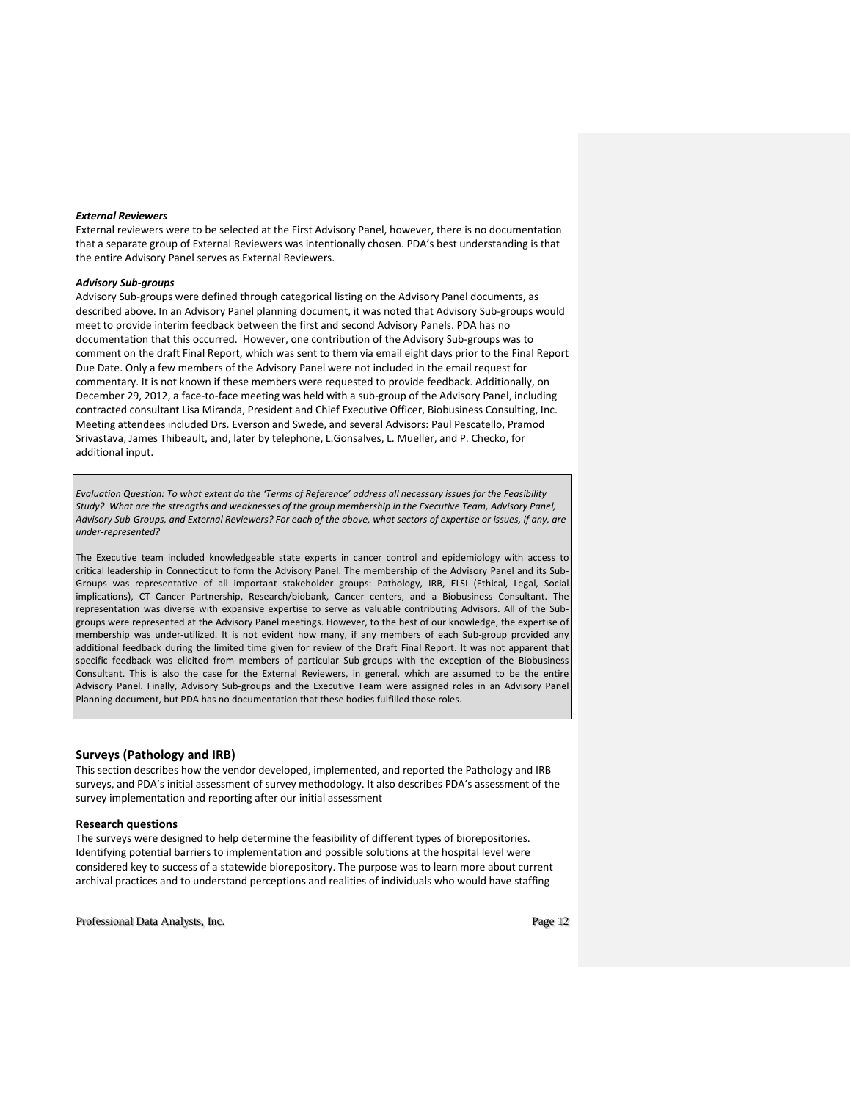#### *External Reviewers*

External reviewers were to be selected at the First Advisory Panel, however, there is no documentation that a separate group of External Reviewers was intentionally chosen. PDA's best understanding is that the entire Advisory Panel serves as External Reviewers.

### *Advisory Sub-groups*

Advisory Sub-groups were defined through categorical listing on the Advisory Panel documents, as described above. In an Advisory Panel planning document, it was noted that Advisory Sub-groups would meet to provide interim feedback between the first and second Advisory Panels. PDA has no documentation that this occurred. However, one contribution of the Advisory Sub-groups was to comment on the draft Final Report, which was sent to them via email eight days prior to the Final Report Due Date. Only a few members of the Advisory Panel were not included in the email request for commentary. It is not known if these members were requested to provide feedback. Additionally, on December 29, 2012, a face-to-face meeting was held with a sub-group of the Advisory Panel, including contracted consultant Lisa Miranda, President and Chief Executive Officer, Biobusiness Consulting, Inc. Meeting attendees included Drs. Everson and Swede, and several Advisors: Paul Pescatello, Pramod Srivastava, James Thibeault, and, later by telephone, L.Gonsalves, L. Mueller, and P. Checko, for additional input.

*Evaluation Question: To what extent do the 'Terms of Reference' address all necessary issues for the Feasibility Study? What are the strengths and weaknesses of the group membership in the Executive Team, Advisory Panel, Advisory Sub-Groups, and External Reviewers? For each of the above, what sectors of expertise or issues, if any, are under-represented?* 

The Executive team included knowledgeable state experts in cancer control and epidemiology with access to critical leadership in Connecticut to form the Advisory Panel. The membership of the Advisory Panel and its Sub-Groups was representative of all important stakeholder groups: Pathology, IRB, ELSI (Ethical, Legal, Social implications), CT Cancer Partnership, Research/biobank, Cancer centers, and a Biobusiness Consultant. The representation was diverse with expansive expertise to serve as valuable contributing Advisors. All of the Subgroups were represented at the Advisory Panel meetings. However, to the best of our knowledge, the expertise of membership was under-utilized. It is not evident how many, if any members of each Sub-group provided any additional feedback during the limited time given for review of the Draft Final Report. It was not apparent that specific feedback was elicited from members of particular Sub-groups with the exception of the Biobusiness Consultant. This is also the case for the External Reviewers, in general, which are assumed to be the entire Advisory Panel. Finally, Advisory Sub-groups and the Executive Team were assigned roles in an Advisory Panel Planning document, but PDA has no documentation that these bodies fulfilled those roles.

### **Surveys (Pathology and IRB)**

This section describes how the vendor developed, implemented, and reported the Pathology and IRB surveys, and PDA's initial assessment of survey methodology. It also describes PDA's assessment of the survey implementation and reporting after our initial assessment

#### **Research questions**

The surveys were designed to help determine the feasibility of different types of biorepositories. Identifying potential barriers to implementation and possible solutions at the hospital level were considered key to success of a statewide biorepository. The purpose was to learn more about current archival practices and to understand perceptions and realities of individuals who would have staffing

Professional Data Analysts, Inc. **Page 12 Professional Data Analysts, Inc.**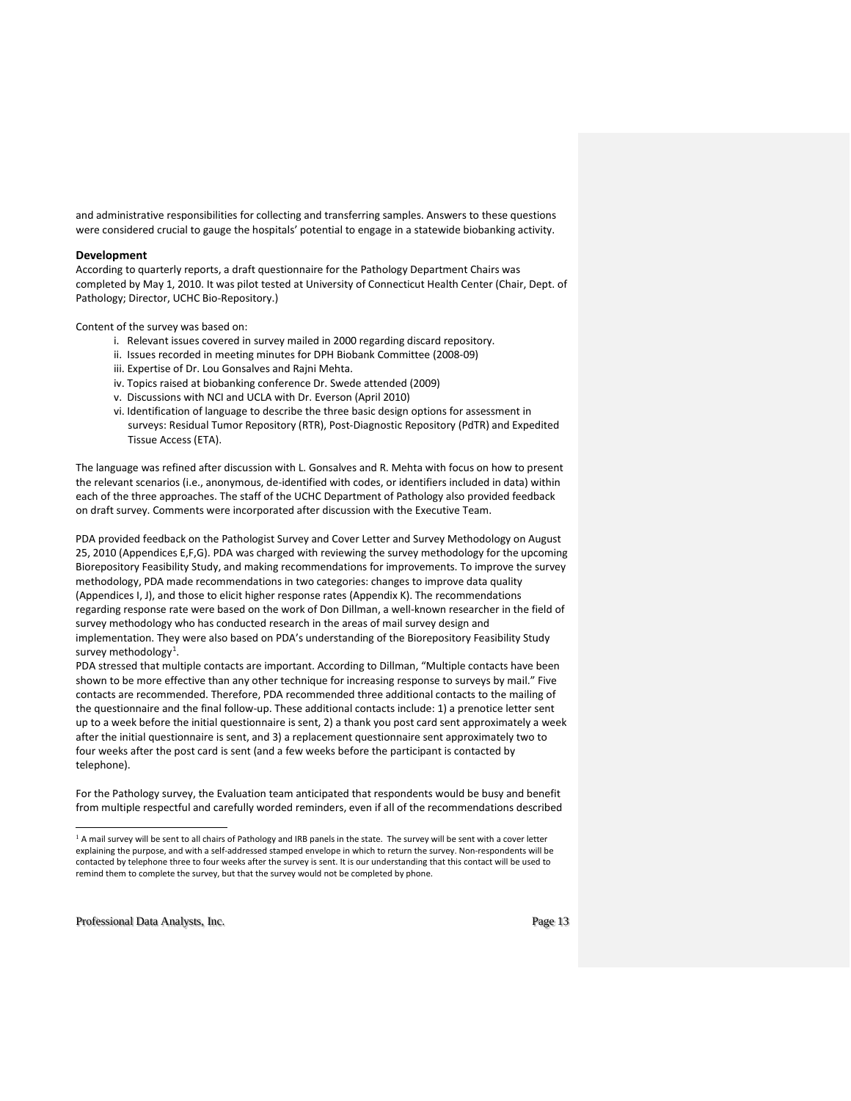and administrative responsibilities for collecting and transferring samples. Answers to these questions were considered crucial to gauge the hospitals' potential to engage in a statewide biobanking activity.

### **Development**

According to quarterly reports, a draft questionnaire for the Pathology Department Chairs was completed by May 1, 2010. It was pilot tested at University of Connecticut Health Center (Chair, Dept. of Pathology; Director, UCHC Bio-Repository.)

Content of the survey was based on:

- i. Relevant issues covered in survey mailed in 2000 regarding discard repository.
- ii. Issues recorded in meeting minutes for DPH Biobank Committee (2008-09)
- iii. Expertise of Dr. Lou Gonsalves and Rajni Mehta.
- iv. Topics raised at biobanking conference Dr. Swede attended (2009)
- v. Discussions with NCI and UCLA with Dr. Everson (April 2010)
- vi. Identification of language to describe the three basic design options for assessment in surveys: Residual Tumor Repository (RTR), Post-Diagnostic Repository (PdTR) and Expedited Tissue Access (ETA).

The language was refined after discussion with L. Gonsalves and R. Mehta with focus on how to present the relevant scenarios (i.e., anonymous, de-identified with codes, or identifiers included in data) within each of the three approaches. The staff of the UCHC Department of Pathology also provided feedback on draft survey. Comments were incorporated after discussion with the Executive Team.

PDA provided feedback on the Pathologist Survey and Cover Letter and Survey Methodology on August 25, 2010 (Appendices E,F,G). PDA was charged with reviewing the survey methodology for the upcoming Biorepository Feasibility Study, and making recommendations for improvements. To improve the survey methodology, PDA made recommendations in two categories: changes to improve data quality (Appendices I, J), and those to elicit higher response rates (Appendix K). The recommendations regarding response rate were based on the work of Don Dillman, a well-known researcher in the field of survey methodology who has conducted research in the areas of mail survey design and implementation. They were also based on PDA's understanding of the Biorepository Feasibility Study survey methodology<sup>[1](#page-13-0)</sup>.

PDA stressed that multiple contacts are important. According to Dillman, "Multiple contacts have been shown to be more effective than any other technique for increasing response to surveys by mail." Five contacts are recommended. Therefore, PDA recommended three additional contacts to the mailing of the questionnaire and the final follow-up. These additional contacts include: 1) a prenotice letter sent up to a week before the initial questionnaire is sent, 2) a thank you post card sent approximately a week after the initial questionnaire is sent, and 3) a replacement questionnaire sent approximately two to four weeks after the post card is sent (and a few weeks before the participant is contacted by telephone).

For the Pathology survey, the Evaluation team anticipated that respondents would be busy and benefit from multiple respectful and carefully worded reminders, even if all of the recommendations described

<span id="page-13-0"></span>Professional Data Analysts, Inc. **Professional Data Analysts**, Inc.

 $\overline{a}$ 

<sup>&</sup>lt;sup>1</sup> A mail survey will be sent to all chairs of Pathology and IRB panels in the state. The survey will be sent with a cover letter explaining the purpose, and with a self-addressed stamped envelope in which to return the survey. Non-respondents will be contacted by telephone three to four weeks after the survey is sent. It is our understanding that this contact will be used to remind them to complete the survey, but that the survey would not be completed by phone.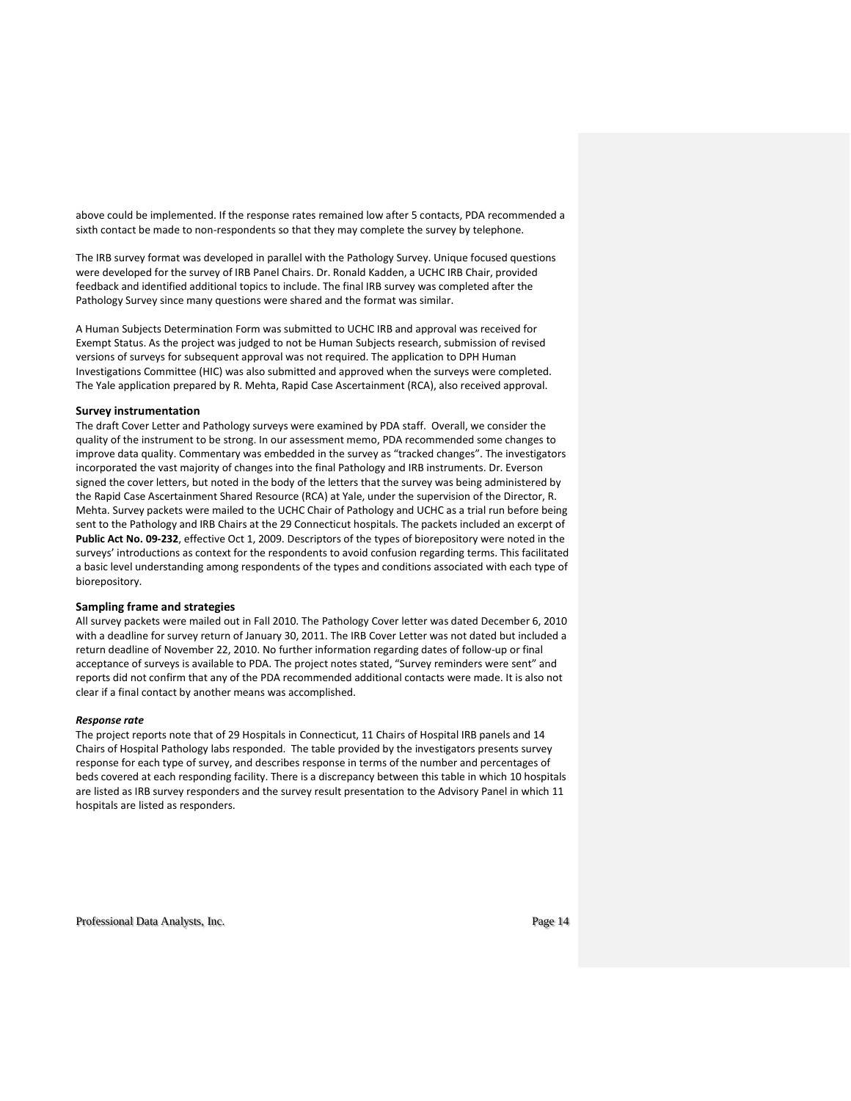above could be implemented. If the response rates remained low after 5 contacts, PDA recommended a sixth contact be made to non-respondents so that they may complete the survey by telephone.

The IRB survey format was developed in parallel with the Pathology Survey. Unique focused questions were developed for the survey of IRB Panel Chairs. Dr. Ronald Kadden, a UCHC IRB Chair, provided feedback and identified additional topics to include. The final IRB survey was completed after the Pathology Survey since many questions were shared and the format was similar.

A Human Subjects Determination Form was submitted to UCHC IRB and approval was received for Exempt Status. As the project was judged to not be Human Subjects research, submission of revised versions of surveys for subsequent approval was not required. The application to DPH Human Investigations Committee (HIC) was also submitted and approved when the surveys were completed. The Yale application prepared by R. Mehta, Rapid Case Ascertainment (RCA), also received approval.

### **Survey instrumentation**

The draft Cover Letter and Pathology surveys were examined by PDA staff. Overall, we consider the quality of the instrument to be strong. In our assessment memo, PDA recommended some changes to improve data quality. Commentary was embedded in the survey as "tracked changes". The investigators incorporated the vast majority of changes into the final Pathology and IRB instruments. Dr. Everson signed the cover letters, but noted in the body of the letters that the survey was being administered by the Rapid Case Ascertainment Shared Resource (RCA) at Yale, under the supervision of the Director, R. Mehta. Survey packets were mailed to the UCHC Chair of Pathology and UCHC as a trial run before being sent to the Pathology and IRB Chairs at the 29 Connecticut hospitals. The packets included an excerpt of **Public Act No. 09-232**, effective Oct 1, 2009. Descriptors of the types of biorepository were noted in the surveys' introductions as context for the respondents to avoid confusion regarding terms. This facilitated a basic level understanding among respondents of the types and conditions associated with each type of biorepository.

#### **Sampling frame and strategies**

All survey packets were mailed out in Fall 2010. The Pathology Cover letter was dated December 6, 2010 with a deadline for survey return of January 30, 2011. The IRB Cover Letter was not dated but included a return deadline of November 22, 2010. No further information regarding dates of follow-up or final acceptance of surveys is available to PDA. The project notes stated, "Survey reminders were sent" and reports did not confirm that any of the PDA recommended additional contacts were made. It is also not clear if a final contact by another means was accomplished.

#### *Response rate*

The project reports note that of 29 Hospitals in Connecticut, 11 Chairs of Hospital IRB panels and 14 Chairs of Hospital Pathology labs responded. The table provided by the investigators presents survey response for each type of survey, and describes response in terms of the number and percentages of beds covered at each responding facility. There is a discrepancy between this table in which 10 hospitals are listed as IRB survey responders and the survey result presentation to the Advisory Panel in which 11 hospitals are listed as responders.

Professional Data Analysts, Inc. **Page 14** and *Page 14* and *Page 14* and *Page 14* and *Page 14* and *Page 14* and *Page 14* and *Page 14* and *Page 14* and *Page 14* and *Page 14* and *Page 14* and *Page 14* and *Page 1*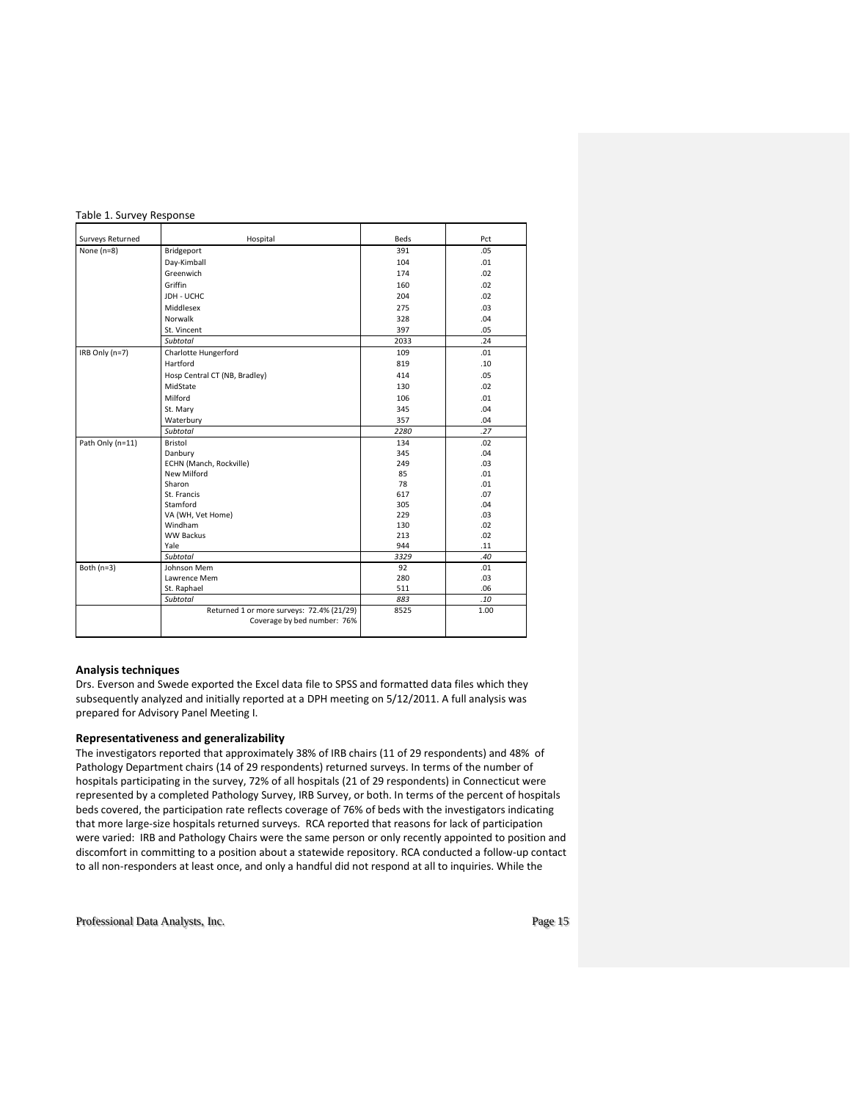### Table 1. Survey Response

| Surveys Returned | Hospital                                  | Beds | Pct  |
|------------------|-------------------------------------------|------|------|
| None $(n=8)$     | Bridgeport                                | 391  | .05  |
|                  | Day-Kimball                               | 104  | .01  |
|                  | Greenwich                                 | 174  | .02  |
|                  | Griffin                                   | 160  | .02  |
|                  | JDH - UCHC                                | 204  | .02  |
|                  | Middlesex                                 | 275  | .03  |
|                  | Norwalk                                   | 328  | .04  |
|                  | St. Vincent                               | 397  | .05  |
|                  | Subtotal                                  | 2033 | .24  |
| IRB Only (n=7)   | Charlotte Hungerford                      | 109  | .01  |
|                  | Hartford                                  | 819  | .10  |
|                  | Hosp Central CT (NB, Bradley)             | 414  | .05  |
|                  | MidState                                  | 130  | .02  |
|                  | Milford                                   | 106  | .01  |
|                  | St. Mary                                  | 345  | .04  |
|                  | Waterbury                                 | 357  | .04  |
|                  | Subtotal                                  | 2280 | .27  |
| Path Only (n=11) | Bristol                                   | 134  | .02  |
|                  | Danbury                                   | 345  | .04  |
|                  | ECHN (Manch, Rockville)                   | 249  | .03  |
|                  | New Milford                               | 85   | .01  |
|                  | Sharon                                    | 78   | .01  |
|                  | St. Francis                               | 617  | .07  |
|                  | Stamford                                  | 305  | .04  |
|                  | VA (WH, Vet Home)                         | 229  | .03  |
|                  | Windham                                   | 130  | .02  |
|                  | <b>WW Backus</b>                          | 213  | .02  |
|                  | Yale                                      | 944  | .11  |
|                  | Subtotal                                  | 3329 | .40  |
| Both $(n=3)$     | Johnson Mem                               | 92   | .01  |
|                  | Lawrence Mem                              | 280  | .03  |
|                  | St. Raphael                               | 511  | .06  |
|                  | Subtotal                                  | 883  | .10  |
|                  | Returned 1 or more surveys: 72.4% (21/29) | 8525 | 1.00 |
|                  | Coverage by bed number: 76%               |      |      |
|                  |                                           |      |      |

### **Analysis techniques**

Drs. Everson and Swede exported the Excel data file to SPSS and formatted data files which they subsequently analyzed and initially reported at a DPH meeting on 5/12/2011. A full analysis was prepared for Advisory Panel Meeting I.

### **Representativeness and generalizability**

The investigators reported that approximately 38% of IRB chairs (11 of 29 respondents) and 48% of Pathology Department chairs (14 of 29 respondents) returned surveys. In terms of the number of hospitals participating in the survey, 72% of all hospitals (21 of 29 respondents) in Connecticut were represented by a completed Pathology Survey, IRB Survey, or both. In terms of the percent of hospitals beds covered, the participation rate reflects coverage of 76% of beds with the investigators indicating that more large-size hospitals returned surveys. RCA reported that reasons for lack of participation were varied: IRB and Pathology Chairs were the same person or only recently appointed to position and discomfort in committing to a position about a statewide repository. RCA conducted a follow-up contact to all non-responders at least once, and only a handful did not respond at all to inquiries. While the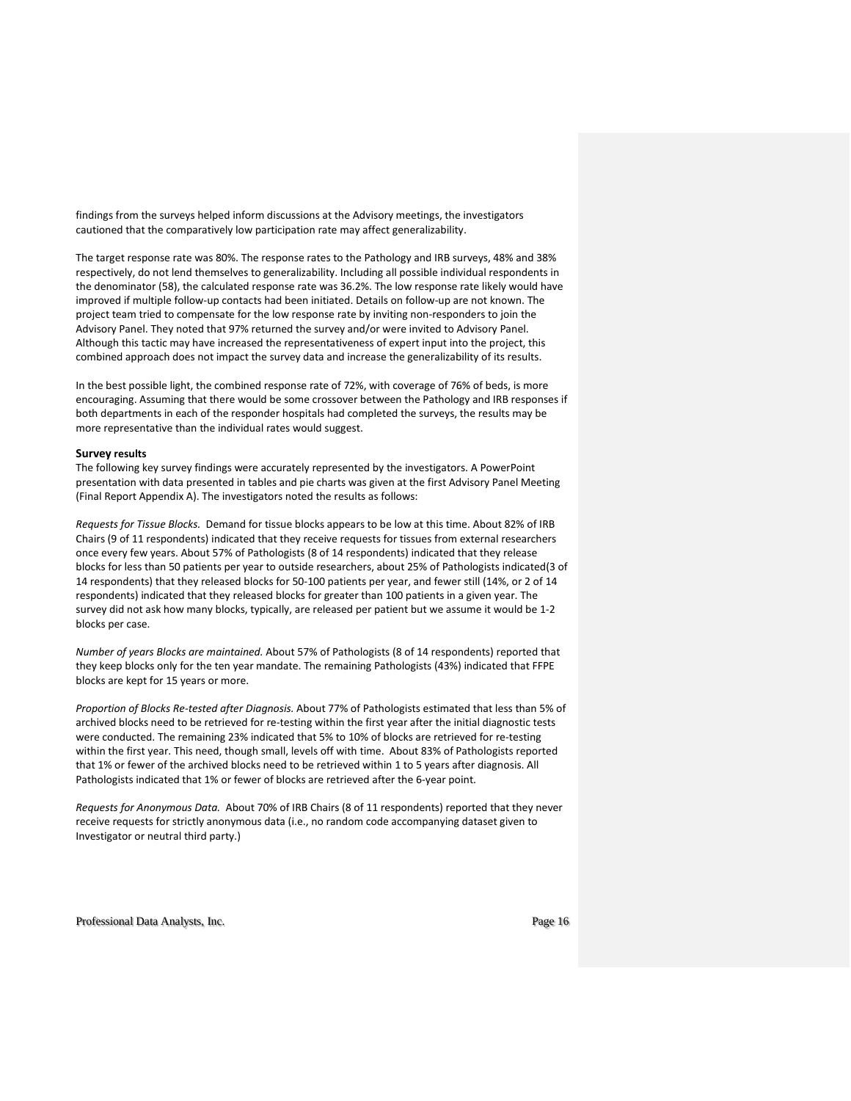findings from the surveys helped inform discussions at the Advisory meetings, the investigators cautioned that the comparatively low participation rate may affect generalizability.

The target response rate was 80%. The response rates to the Pathology and IRB surveys, 48% and 38% respectively, do not lend themselves to generalizability. Including all possible individual respondents in the denominator (58), the calculated response rate was 36.2%. The low response rate likely would have improved if multiple follow-up contacts had been initiated. Details on follow-up are not known. The project team tried to compensate for the low response rate by inviting non-responders to join the Advisory Panel. They noted that 97% returned the survey and/or were invited to Advisory Panel. Although this tactic may have increased the representativeness of expert input into the project, this combined approach does not impact the survey data and increase the generalizability of its results.

In the best possible light, the combined response rate of 72%, with coverage of 76% of beds, is more encouraging. Assuming that there would be some crossover between the Pathology and IRB responses if both departments in each of the responder hospitals had completed the surveys, the results may be more representative than the individual rates would suggest.

### **Survey results**

The following key survey findings were accurately represented by the investigators. A PowerPoint presentation with data presented in tables and pie charts was given at the first Advisory Panel Meeting (Final Report Appendix A). The investigators noted the results as follows:

*Requests for Tissue Blocks.* Demand for tissue blocks appears to be low at this time. About 82% of IRB Chairs (9 of 11 respondents) indicated that they receive requests for tissues from external researchers once every few years. About 57% of Pathologists (8 of 14 respondents) indicated that they release blocks for less than 50 patients per year to outside researchers, about 25% of Pathologists indicated(3 of 14 respondents) that they released blocks for 50-100 patients per year, and fewer still (14%, or 2 of 14 respondents) indicated that they released blocks for greater than 100 patients in a given year. The survey did not ask how many blocks, typically, are released per patient but we assume it would be 1-2 blocks per case.

*Number of years Blocks are maintained.* About 57% of Pathologists (8 of 14 respondents) reported that they keep blocks only for the ten year mandate. The remaining Pathologists (43%) indicated that FFPE blocks are kept for 15 years or more.

*Proportion of Blocks Re-tested after Diagnosis.* About 77% of Pathologists estimated that less than 5% of archived blocks need to be retrieved for re-testing within the first year after the initial diagnostic tests were conducted. The remaining 23% indicated that 5% to 10% of blocks are retrieved for re-testing within the first year. This need, though small, levels off with time. About 83% of Pathologists reported that 1% or fewer of the archived blocks need to be retrieved within 1 to 5 years after diagnosis. All Pathologists indicated that 1% or fewer of blocks are retrieved after the 6-year point.

*Requests for Anonymous Data.* About 70% of IRB Chairs (8 of 11 respondents) reported that they never receive requests for strictly anonymous data (i.e., no random code accompanying dataset given to Investigator or neutral third party.)

Professional Data Analysts, Inc. extended the page 16 and 200 million Page 16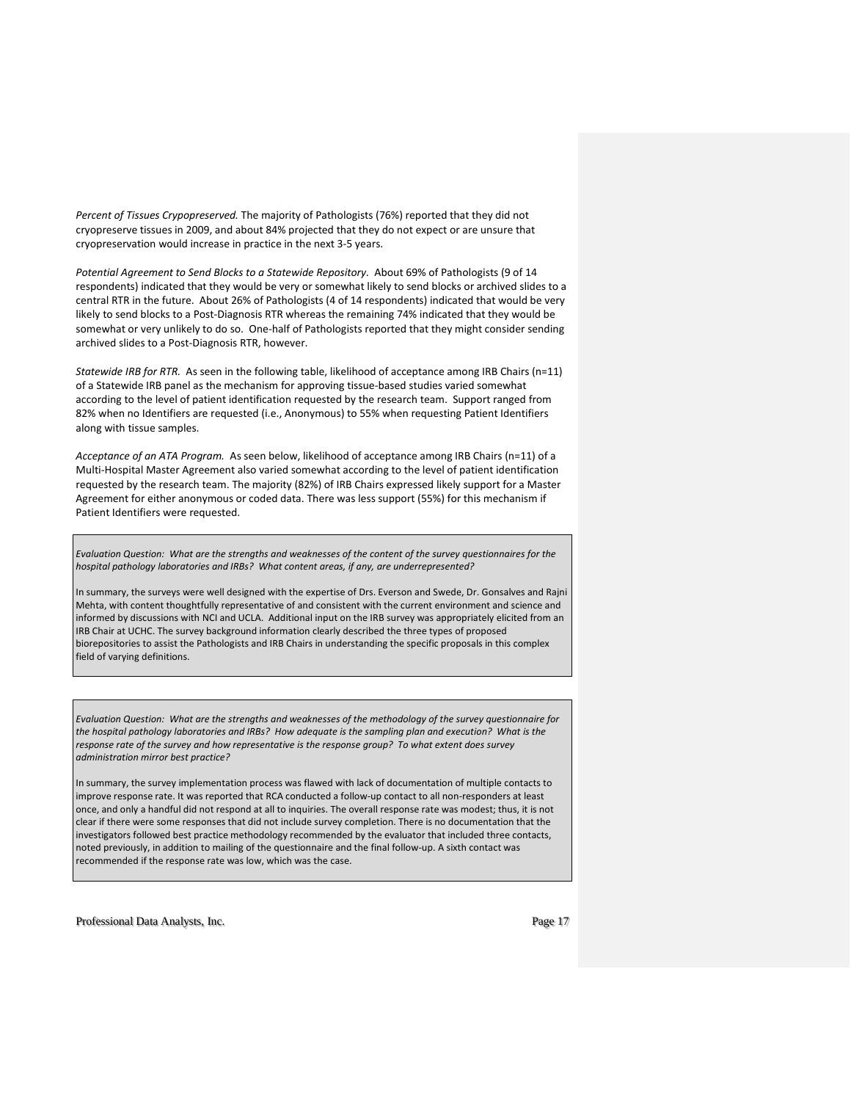*Percent of Tissues Crypopreserved.* The majority of Pathologists (76%) reported that they did not cryopreserve tissues in 2009, and about 84% projected that they do not expect or are unsure that cryopreservation would increase in practice in the next 3-5 years.

*Potential Agreement to Send Blocks to a Statewide Repository.* About 69% of Pathologists (9 of 14 respondents) indicated that they would be very or somewhat likely to send blocks or archived slides to a central RTR in the future. About 26% of Pathologists (4 of 14 respondents) indicated that would be very likely to send blocks to a Post-Diagnosis RTR whereas the remaining 74% indicated that they would be somewhat or very unlikely to do so. One-half of Pathologists reported that they might consider sending archived slides to a Post-Diagnosis RTR, however.

*Statewide IRB for RTR.* As seen in the following table, likelihood of acceptance among IRB Chairs (n=11) of a Statewide IRB panel as the mechanism for approving tissue-based studies varied somewhat according to the level of patient identification requested by the research team. Support ranged from 82% when no Identifiers are requested (i.e., Anonymous) to 55% when requesting Patient Identifiers along with tissue samples.

*Acceptance of an ATA Program.* As seen below, likelihood of acceptance among IRB Chairs (n=11) of a Multi-Hospital Master Agreement also varied somewhat according to the level of patient identification requested by the research team. The majority (82%) of IRB Chairs expressed likely support for a Master Agreement for either anonymous or coded data. There was less support (55%) for this mechanism if Patient Identifiers were requested.

*Evaluation Question: What are the strengths and weaknesses of the content of the survey questionnaires for the hospital pathology laboratories and IRBs? What content areas, if any, are underrepresented?* 

In summary, the surveys were well designed with the expertise of Drs. Everson and Swede, Dr. Gonsalves and Rajni Mehta, with content thoughtfully representative of and consistent with the current environment and science and informed by discussions with NCI and UCLA. Additional input on the IRB survey was appropriately elicited from an IRB Chair at UCHC. The survey background information clearly described the three types of proposed biorepositories to assist the Pathologists and IRB Chairs in understanding the specific proposals in this complex field of varying definitions.

*Evaluation Question: What are the strengths and weaknesses of the methodology of the survey questionnaire for the hospital pathology laboratories and IRBs? How adequate is the sampling plan and execution? What is the response rate of the survey and how representative is the response group? To what extent does survey administration mirror best practice?*

In summary, the survey implementation process was flawed with lack of documentation of multiple contacts to improve response rate. It was reported that RCA conducted a follow-up contact to all non-responders at least once, and only a handful did not respond at all to inquiries. The overall response rate was modest; thus, it is not clear if there were some responses that did not include survey completion. There is no documentation that the investigators followed best practice methodology recommended by the evaluator that included three contacts, noted previously, in addition to mailing of the questionnaire and the final follow-up. A sixth contact was recommended if the response rate was low, which was the case.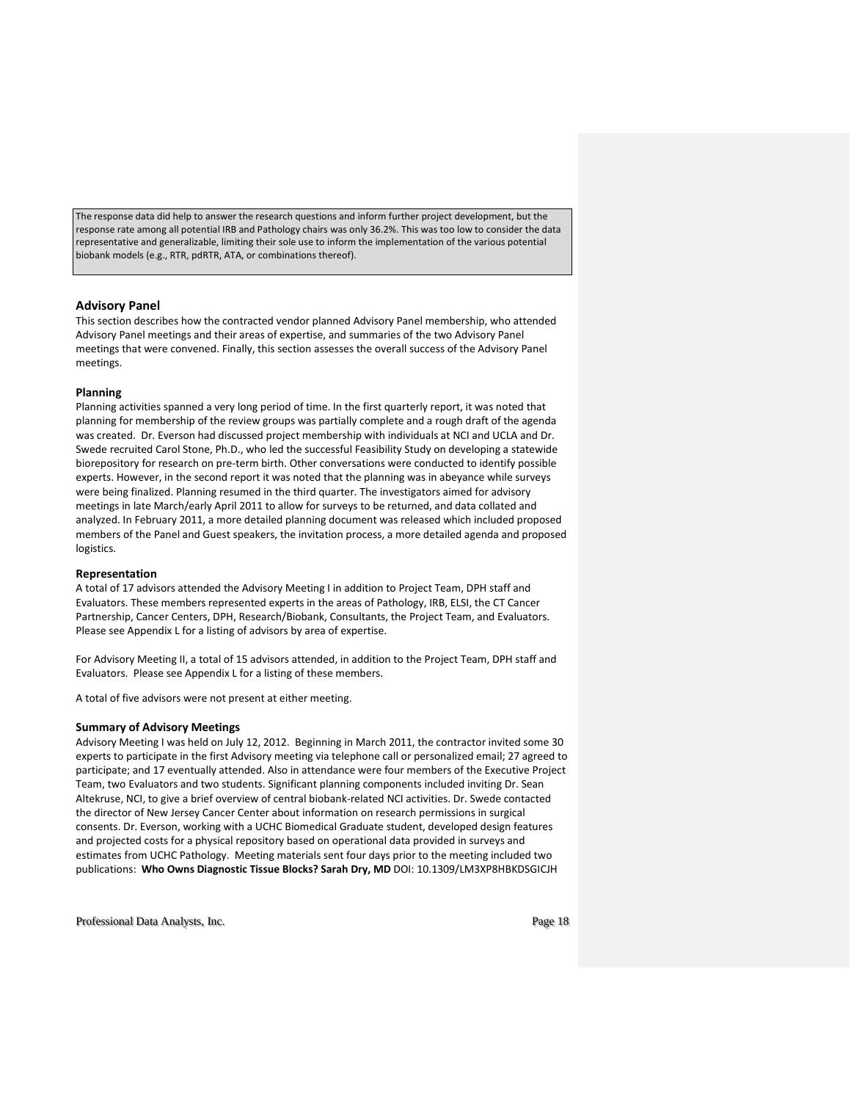The response data did help to answer the research questions and inform further project development, but the response rate among all potential IRB and Pathology chairs was only 36.2%. This was too low to consider the data representative and generalizable, limiting their sole use to inform the implementation of the various potential biobank models (e.g., RTR, pdRTR, ATA, or combinations thereof).

### **Advisory Panel**

This section describes how the contracted vendor planned Advisory Panel membership, who attended Advisory Panel meetings and their areas of expertise, and summaries of the two Advisory Panel meetings that were convened. Finally, this section assesses the overall success of the Advisory Panel meetings.

### **Planning**

Planning activities spanned a very long period of time. In the first quarterly report, it was noted that planning for membership of the review groups was partially complete and a rough draft of the agenda was created. Dr. Everson had discussed project membership with individuals at NCI and UCLA and Dr. Swede recruited Carol Stone, Ph.D., who led the successful Feasibility Study on developing a statewide biorepository for research on pre-term birth. Other conversations were conducted to identify possible experts. However, in the second report it was noted that the planning was in abeyance while surveys were being finalized. Planning resumed in the third quarter. The investigators aimed for advisory meetings in late March/early April 2011 to allow for surveys to be returned, and data collated and analyzed. In February 2011, a more detailed planning document was released which included proposed members of the Panel and Guest speakers, the invitation process, a more detailed agenda and proposed logistics.

### **Representation**

A total of 17 advisors attended the Advisory Meeting I in addition to Project Team, DPH staff and Evaluators. These members represented experts in the areas of Pathology, IRB, ELSI, the CT Cancer Partnership, Cancer Centers, DPH, Research/Biobank, Consultants, the Project Team, and Evaluators. Please see Appendix L for a listing of advisors by area of expertise.

For Advisory Meeting II, a total of 15 advisors attended, in addition to the Project Team, DPH staff and Evaluators. Please see Appendix L for a listing of these members.

A total of five advisors were not present at either meeting.

### **Summary of Advisory Meetings**

Advisory Meeting I was held on July 12, 2012. Beginning in March 2011, the contractor invited some 30 experts to participate in the first Advisory meeting via telephone call or personalized email; 27 agreed to participate; and 17 eventually attended. Also in attendance were four members of the Executive Project Team, two Evaluators and two students. Significant planning components included inviting Dr. Sean Altekruse, NCI, to give a brief overview of central biobank-related NCI activities. Dr. Swede contacted the director of New Jersey Cancer Center about information on research permissions in surgical consents. Dr. Everson, working with a UCHC Biomedical Graduate student, developed design features and projected costs for a physical repository based on operational data provided in surveys and estimates from UCHC Pathology. Meeting materials sent four days prior to the meeting included two publications: **Who Owns Diagnostic Tissue Blocks? Sarah Dry, MD** DOI: 10.1309/LM3XP8HBKDSGICJH

Professional Data Analysts, Inc. **Page 18** Professional Data Analysts, Inc.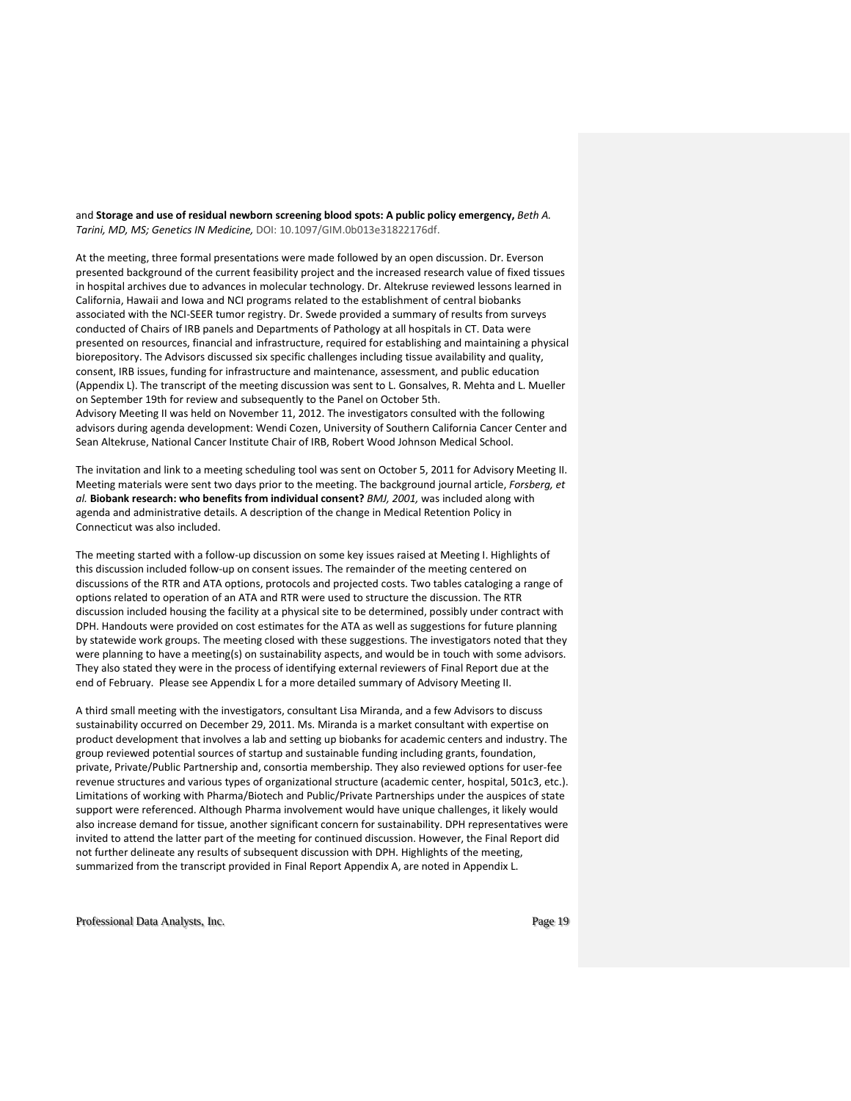and **Storage and use of residual newborn screening blood spots: A public policy emergency, Beth A.** *Tarini, MD, MS; Genetics IN Medicine,* DOI: 10.1097/GIM.0b013e31822176df.

At the meeting, three formal presentations were made followed by an open discussion. Dr. Everson presented background of the current feasibility project and the increased research value of fixed tissues in hospital archives due to advances in molecular technology. Dr. Altekruse reviewed lessons learned in California, Hawaii and Iowa and NCI programs related to the establishment of central biobanks associated with the NCI-SEER tumor registry. Dr. Swede provided a summary of results from surveys conducted of Chairs of IRB panels and Departments of Pathology at all hospitals in CT. Data were presented on resources, financial and infrastructure, required for establishing and maintaining a physical biorepository. The Advisors discussed six specific challenges including tissue availability and quality, consent, IRB issues, funding for infrastructure and maintenance, assessment, and public education (Appendix L). The transcript of the meeting discussion was sent to L. Gonsalves, R. Mehta and L. Mueller on September 19th for review and subsequently to the Panel on October 5th. Advisory Meeting II was held on November 11, 2012. The investigators consulted with the following

advisors during agenda development: Wendi Cozen, University of Southern California Cancer Center and Sean Altekruse, National Cancer Institute Chair of IRB, Robert Wood Johnson Medical School.

The invitation and link to a meeting scheduling tool was sent on October 5, 2011 for Advisory Meeting II. Meeting materials were sent two days prior to the meeting. The background journal article, *Forsberg, et al.* **Biobank research: who benefits from individual consent?** *BMJ, 2001,* was included along with agenda and administrative details. A description of the change in Medical Retention Policy in Connecticut was also included.

The meeting started with a follow-up discussion on some key issues raised at Meeting I. Highlights of this discussion included follow-up on consent issues. The remainder of the meeting centered on discussions of the RTR and ATA options, protocols and projected costs. Two tables cataloging a range of options related to operation of an ATA and RTR were used to structure the discussion. The RTR discussion included housing the facility at a physical site to be determined, possibly under contract with DPH. Handouts were provided on cost estimates for the ATA as well as suggestions for future planning by statewide work groups. The meeting closed with these suggestions. The investigators noted that they were planning to have a meeting(s) on sustainability aspects, and would be in touch with some advisors. They also stated they were in the process of identifying external reviewers of Final Report due at the end of February. Please see Appendix L for a more detailed summary of Advisory Meeting II.

A third small meeting with the investigators, consultant Lisa Miranda, and a few Advisors to discuss sustainability occurred on December 29, 2011. Ms. Miranda is a market consultant with expertise on product development that involves a lab and setting up biobanks for academic centers and industry. The group reviewed potential sources of startup and sustainable funding including grants, foundation, private, Private/Public Partnership and, consortia membership. They also reviewed options for user-fee revenue structures and various types of organizational structure (academic center, hospital, 501c3, etc.). Limitations of working with Pharma/Biotech and Public/Private Partnerships under the auspices of state support were referenced. Although Pharma involvement would have unique challenges, it likely would also increase demand for tissue, another significant concern for sustainability. DPH representatives were invited to attend the latter part of the meeting for continued discussion. However, the Final Report did not further delineate any results of subsequent discussion with DPH. Highlights of the meeting, summarized from the transcript provided in Final Report Appendix A, are noted in Appendix L.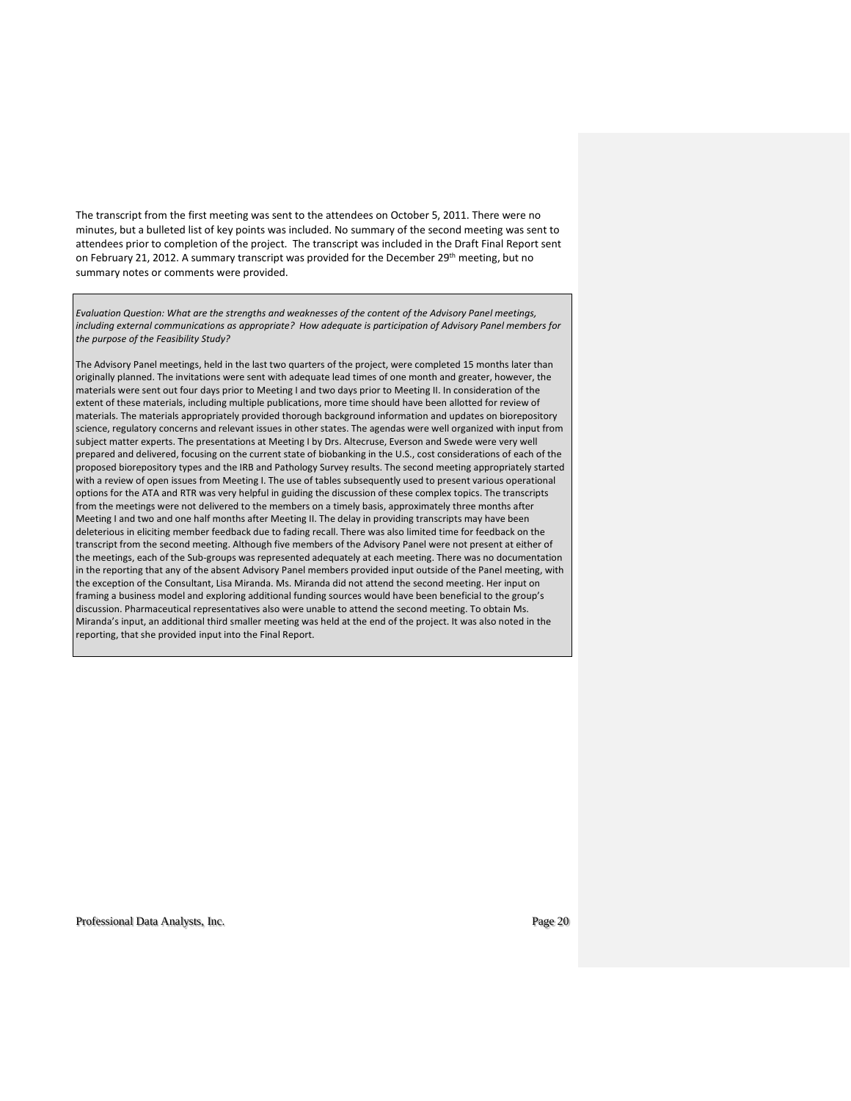The transcript from the first meeting was sent to the attendees on October 5, 2011. There were no minutes, but a bulleted list of key points was included. No summary of the second meeting was sent to attendees prior to completion of the project. The transcript was included in the Draft Final Report sent on February 21, 2012. A summary transcript was provided for the December 29<sup>th</sup> meeting, but no summary notes or comments were provided.

*Evaluation Question: What are the strengths and weaknesses of the content of the Advisory Panel meetings, including external communications as appropriate? How adequate is participation of Advisory Panel members for the purpose of the Feasibility Study?*

The Advisory Panel meetings, held in the last two quarters of the project, were completed 15 months later than originally planned. The invitations were sent with adequate lead times of one month and greater, however, the materials were sent out four days prior to Meeting I and two days prior to Meeting II. In consideration of the extent of these materials, including multiple publications, more time should have been allotted for review of materials. The materials appropriately provided thorough background information and updates on biorepository science, regulatory concerns and relevant issues in other states. The agendas were well organized with input from subject matter experts. The presentations at Meeting I by Drs. Altecruse, Everson and Swede were very well prepared and delivered, focusing on the current state of biobanking in the U.S., cost considerations of each of the proposed biorepository types and the IRB and Pathology Survey results. The second meeting appropriately started with a review of open issues from Meeting I. The use of tables subsequently used to present various operational options for the ATA and RTR was very helpful in guiding the discussion of these complex topics. The transcripts from the meetings were not delivered to the members on a timely basis, approximately three months after Meeting I and two and one half months after Meeting II. The delay in providing transcripts may have been deleterious in eliciting member feedback due to fading recall. There was also limited time for feedback on the transcript from the second meeting. Although five members of the Advisory Panel were not present at either of the meetings, each of the Sub-groups was represented adequately at each meeting. There was no documentation in the reporting that any of the absent Advisory Panel members provided input outside of the Panel meeting, with the exception of the Consultant, Lisa Miranda. Ms. Miranda did not attend the second meeting. Her input on framing a business model and exploring additional funding sources would have been beneficial to the group's discussion. Pharmaceutical representatives also were unable to attend the second meeting. To obtain Ms. Miranda's input, an additional third smaller meeting was held at the end of the project. It was also noted in the reporting, that she provided input into the Final Report.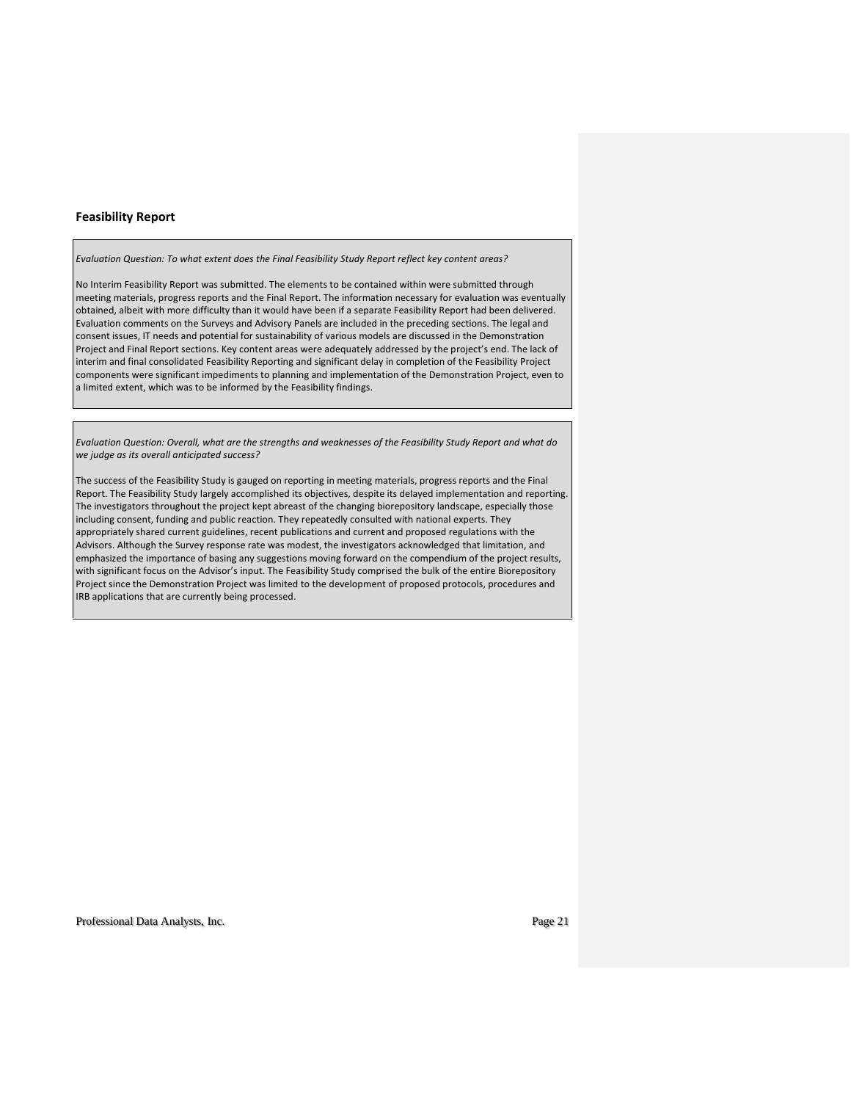### **Feasibility Report**

*Evaluation Question: To what extent does the Final Feasibility Study Report reflect key content areas?*

No Interim Feasibility Report was submitted. The elements to be contained within were submitted through meeting materials, progress reports and the Final Report. The information necessary for evaluation was eventually obtained, albeit with more difficulty than it would have been if a separate Feasibility Report had been delivered. Evaluation comments on the Surveys and Advisory Panels are included in the preceding sections. The legal and consent issues, IT needs and potential for sustainability of various models are discussed in the Demonstration Project and Final Report sections. Key content areas were adequately addressed by the project's end. The lack of interim and final consolidated Feasibility Reporting and significant delay in completion of the Feasibility Project components were significant impediments to planning and implementation of the Demonstration Project, even to a limited extent, which was to be informed by the Feasibility findings.

*Evaluation Question: Overall, what are the strengths and weaknesses of the Feasibility Study Report and what do we judge as its overall anticipated success?*

The success of the Feasibility Study is gauged on reporting in meeting materials, progress reports and the Final Report. The Feasibility Study largely accomplished its objectives, despite its delayed implementation and reporting. The investigators throughout the project kept abreast of the changing biorepository landscape, especially those including consent, funding and public reaction. They repeatedly consulted with national experts. They appropriately shared current guidelines, recent publications and current and proposed regulations with the Advisors. Although the Survey response rate was modest, the investigators acknowledged that limitation, and emphasized the importance of basing any suggestions moving forward on the compendium of the project results, with significant focus on the Advisor's input. The Feasibility Study comprised the bulk of the entire Biorepository Project since the Demonstration Project was limited to the development of proposed protocols, procedures and IRB applications that are currently being processed.

Professional Data Analysts, Inc. Page 21 and 2012 12:30 Page 21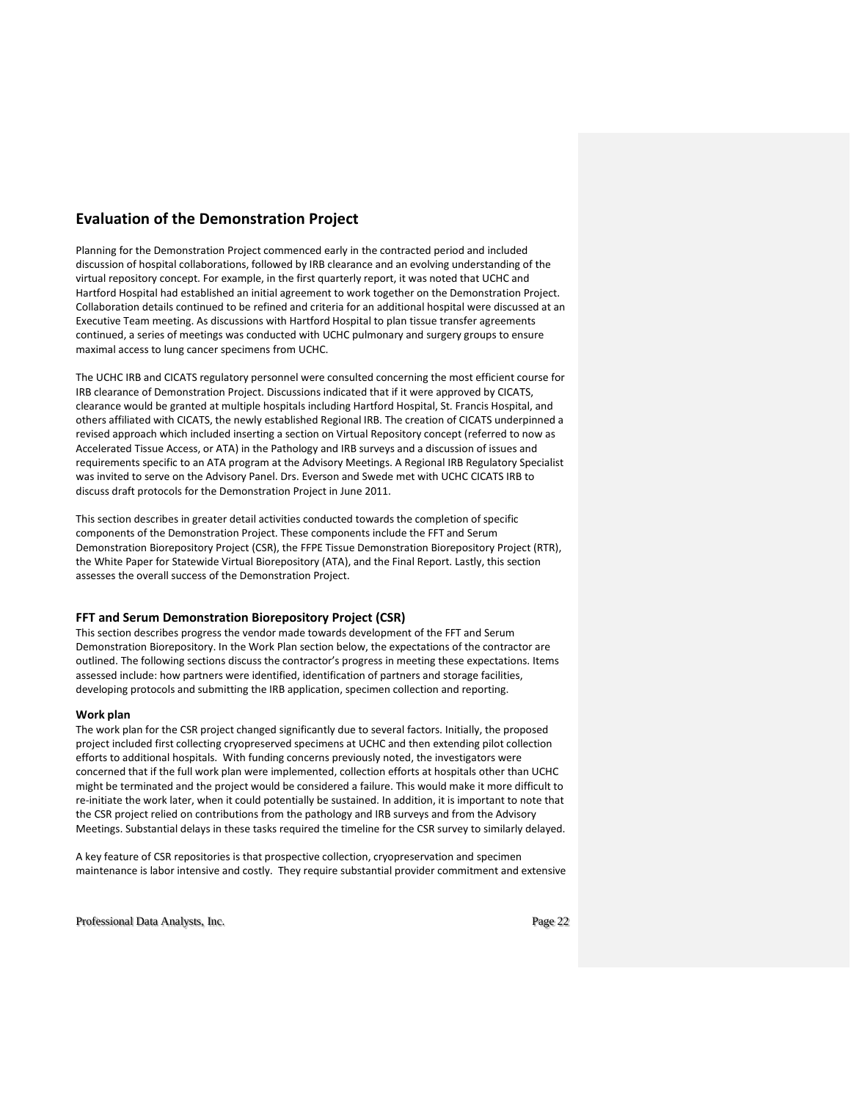# **Evaluation of the Demonstration Project**

Planning for the Demonstration Project commenced early in the contracted period and included discussion of hospital collaborations, followed by IRB clearance and an evolving understanding of the virtual repository concept. For example, in the first quarterly report, it was noted that UCHC and Hartford Hospital had established an initial agreement to work together on the Demonstration Project. Collaboration details continued to be refined and criteria for an additional hospital were discussed at an Executive Team meeting. As discussions with Hartford Hospital to plan tissue transfer agreements continued, a series of meetings was conducted with UCHC pulmonary and surgery groups to ensure maximal access to lung cancer specimens from UCHC.

The UCHC IRB and CICATS regulatory personnel were consulted concerning the most efficient course for IRB clearance of Demonstration Project. Discussions indicated that if it were approved by CICATS, clearance would be granted at multiple hospitals including Hartford Hospital, St. Francis Hospital, and others affiliated with CICATS, the newly established Regional IRB. The creation of CICATS underpinned a revised approach which included inserting a section on Virtual Repository concept (referred to now as Accelerated Tissue Access, or ATA) in the Pathology and IRB surveys and a discussion of issues and requirements specific to an ATA program at the Advisory Meetings. A Regional IRB Regulatory Specialist was invited to serve on the Advisory Panel. Drs. Everson and Swede met with UCHC CICATS IRB to discuss draft protocols for the Demonstration Project in June 2011.

This section describes in greater detail activities conducted towards the completion of specific components of the Demonstration Project. These components include the FFT and Serum Demonstration Biorepository Project (CSR), the FFPE Tissue Demonstration Biorepository Project (RTR), the White Paper for Statewide Virtual Biorepository (ATA), and the Final Report. Lastly, this section assesses the overall success of the Demonstration Project.

### **FFT and Serum Demonstration Biorepository Project (CSR)**

This section describes progress the vendor made towards development of the FFT and Serum Demonstration Biorepository. In the Work Plan section below, the expectations of the contractor are outlined. The following sections discuss the contractor's progress in meeting these expectations. Items assessed include: how partners were identified, identification of partners and storage facilities, developing protocols and submitting the IRB application, specimen collection and reporting.

### **Work plan**

The work plan for the CSR project changed significantly due to several factors. Initially, the proposed project included first collecting cryopreserved specimens at UCHC and then extending pilot collection efforts to additional hospitals. With funding concerns previously noted, the investigators were concerned that if the full work plan were implemented, collection efforts at hospitals other than UCHC might be terminated and the project would be considered a failure. This would make it more difficult to re-initiate the work later, when it could potentially be sustained. In addition, it is important to note that the CSR project relied on contributions from the pathology and IRB surveys and from the Advisory Meetings. Substantial delays in these tasks required the timeline for the CSR survey to similarly delayed.

A key feature of CSR repositories is that prospective collection, cryopreservation and specimen maintenance is labor intensive and costly. They require substantial provider commitment and extensive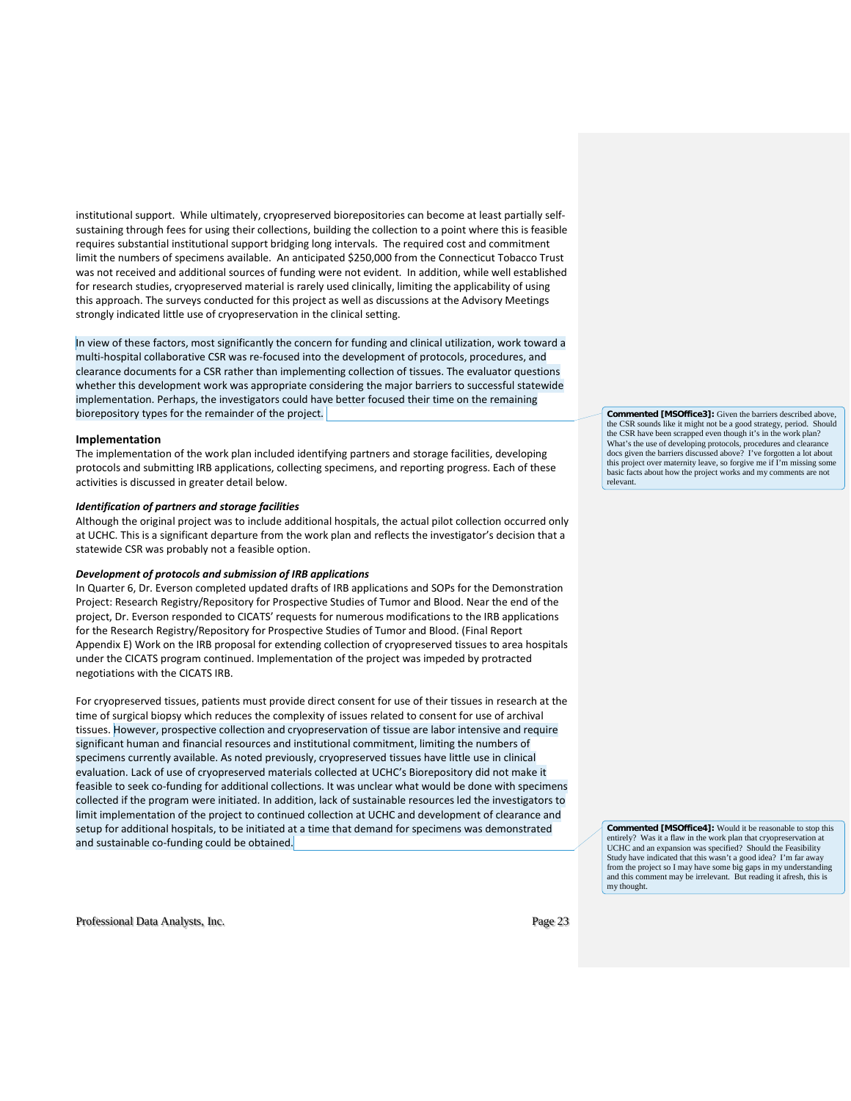institutional support. While ultimately, cryopreserved biorepositories can become at least partially selfsustaining through fees for using their collections, building the collection to a point where this is feasible requires substantial institutional support bridging long intervals. The required cost and commitment limit the numbers of specimens available. An anticipated \$250,000 from the Connecticut Tobacco Trust was not received and additional sources of funding were not evident. In addition, while well established for research studies, cryopreserved material is rarely used clinically, limiting the applicability of using this approach. The surveys conducted for this project as well as discussions at the Advisory Meetings strongly indicated little use of cryopreservation in the clinical setting.

In view of these factors, most significantly the concern for funding and clinical utilization, work toward a multi-hospital collaborative CSR was re-focused into the development of protocols, procedures, and clearance documents for a CSR rather than implementing collection of tissues. The evaluator questions whether this development work was appropriate considering the major barriers to successful statewide implementation. Perhaps, the investigators could have better focused their time on the remaining biorepository types for the remainder of the project.

#### **Implementation**

The implementation of the work plan included identifying partners and storage facilities, developing protocols and submitting IRB applications, collecting specimens, and reporting progress. Each of these activities is discussed in greater detail below.

### *Identification of partners and storage facilities*

Although the original project was to include additional hospitals, the actual pilot collection occurred only at UCHC. This is a significant departure from the work plan and reflects the investigator's decision that a statewide CSR was probably not a feasible option.

### *Development of protocols and submission of IRB applications*

In Quarter 6, Dr. Everson completed updated drafts of IRB applications and SOPs for the Demonstration Project: Research Registry/Repository for Prospective Studies of Tumor and Blood. Near the end of the project, Dr. Everson responded to CICATS' requests for numerous modifications to the IRB applications for the Research Registry/Repository for Prospective Studies of Tumor and Blood. (Final Report Appendix E) Work on the IRB proposal for extending collection of cryopreserved tissues to area hospitals under the CICATS program continued. Implementation of the project was impeded by protracted negotiations with the CICATS IRB.

For cryopreserved tissues, patients must provide direct consent for use of their tissues in research at the time of surgical biopsy which reduces the complexity of issues related to consent for use of archival tissues. However, prospective collection and cryopreservation of tissue are labor intensive and require significant human and financial resources and institutional commitment, limiting the numbers of specimens currently available. As noted previously, cryopreserved tissues have little use in clinical evaluation. Lack of use of cryopreserved materials collected at UCHC's Biorepository did not make it feasible to seek co-funding for additional collections. It was unclear what would be done with specimens collected if the program were initiated. In addition, lack of sustainable resources led the investigators to limit implementation of the project to continued collection at UCHC and development of clearance and setup for additional hospitals, to be initiated at a time that demand for specimens was demonstrated and sustainable co-funding could be obtained.

**Commented [MSOffice3]:** Given the barriers described above, the CSR sounds like it might not be a good strategy, period. Should the CSR have been scrapped even though it's in the work plan? What's the use of developing protocols, procedures and clearance docs given the barriers discussed above? I've forgotten a lot about this project over maternity leave, so forgive me if I'm missing some basic facts about how the project works and my comments are not relevant.

**Commented [MSOffice4]:** Would it be reasonable to stop this entirely? Was it a flaw in the work plan that cryopreservation at UCHC and an expansion was specified? Should the Feasibility Study have indicated that this wasn't a good idea? I'm far away from the project so I may have some big gaps in my understanding and this comment may be irrelevant. But reading it afresh, this is my thought.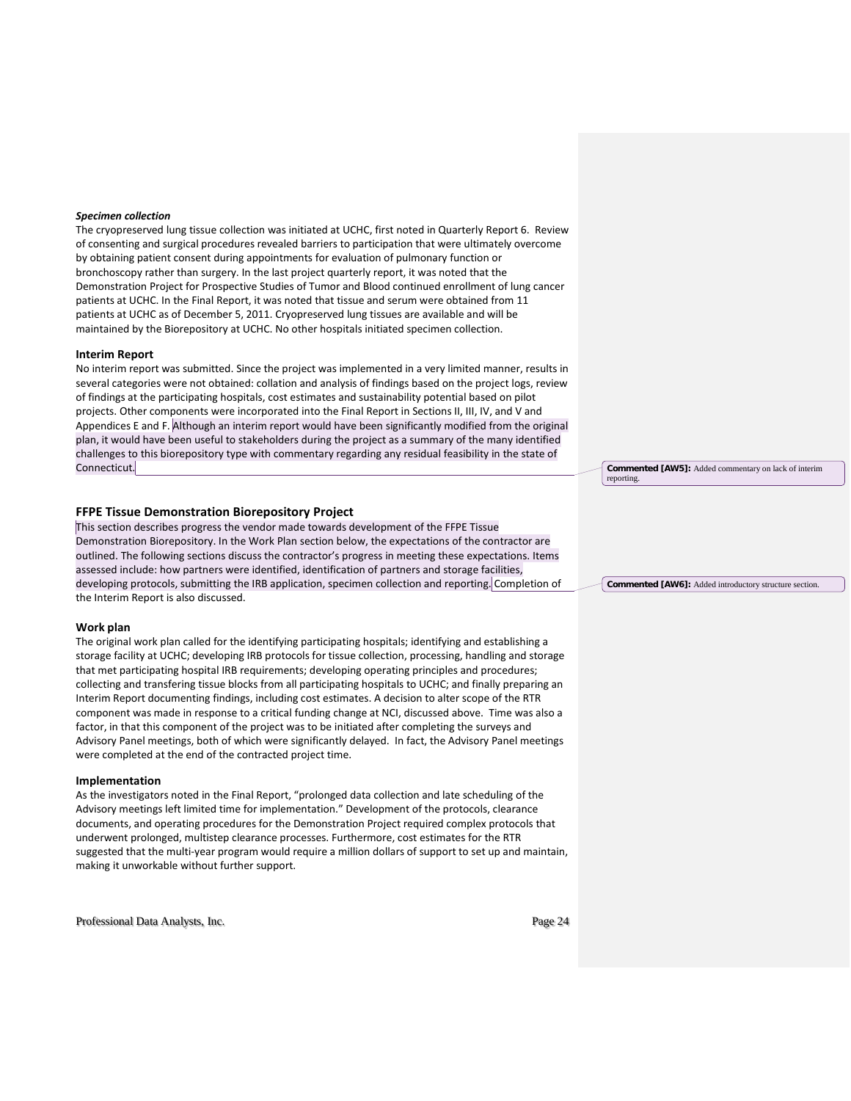### *Specimen collection*

The cryopreserved lung tissue collection was initiated at UCHC, first noted in Quarterly Report 6. Review of consenting and surgical procedures revealed barriers to participation that were ultimately overcome by obtaining patient consent during appointments for evaluation of pulmonary function or bronchoscopy rather than surgery. In the last project quarterly report, it was noted that the Demonstration Project for Prospective Studies of Tumor and Blood continued enrollment of lung cancer patients at UCHC. In the Final Report, it was noted that tissue and serum were obtained from 11 patients at UCHC as of December 5, 2011. Cryopreserved lung tissues are available and will be maintained by the Biorepository at UCHC. No other hospitals initiated specimen collection.

#### **Interim Report**

No interim report was submitted. Since the project was implemented in a very limited manner, results in several categories were not obtained: collation and analysis of findings based on the project logs, review of findings at the participating hospitals, cost estimates and sustainability potential based on pilot projects. Other components were incorporated into the Final Report in Sections II, III, IV, and V and Appendices E and F. Although an interim report would have been significantly modified from the original plan, it would have been useful to stakeholders during the project as a summary of the many identified challenges to this biorepository type with commentary regarding any residual feasibility in the state of Connecticut.

### **FFPE Tissue Demonstration Biorepository Project**

This section describes progress the vendor made towards development of the FFPE Tissue Demonstration Biorepository. In the Work Plan section below, the expectations of the contractor are outlined. The following sections discuss the contractor's progress in meeting these expectations. Items assessed include: how partners were identified, identification of partners and storage facilities, developing protocols, submitting the IRB application, specimen collection and reporting. Completion of the Interim Report is also discussed.

### **Work plan**

The original work plan called for the identifying participating hospitals; identifying and establishing a storage facility at UCHC; developing IRB protocols for tissue collection, processing, handling and storage that met participating hospital IRB requirements; developing operating principles and procedures; collecting and transfering tissue blocks from all participating hospitals to UCHC; and finally preparing an Interim Report documenting findings, including cost estimates. A decision to alter scope of the RTR component was made in response to a critical funding change at NCI, discussed above. Time was also a factor, in that this component of the project was to be initiated after completing the surveys and Advisory Panel meetings, both of which were significantly delayed. In fact, the Advisory Panel meetings were completed at the end of the contracted project time.

### **Implementation**

As the investigators noted in the Final Report, "prolonged data collection and late scheduling of the Advisory meetings left limited time for implementation." Development of the protocols, clearance documents, and operating procedures for the Demonstration Project required complex protocols that underwent prolonged, multistep clearance processes. Furthermore, cost estimates for the RTR suggested that the multi-year program would require a million dollars of support to set up and maintain, making it unworkable without further support.

Professional Data Analysts, Inc. Page 24

**Commented [AW5]:** Added commentary on lack of interim reporting.

**Commented [AW6]:** Added introductory structure section.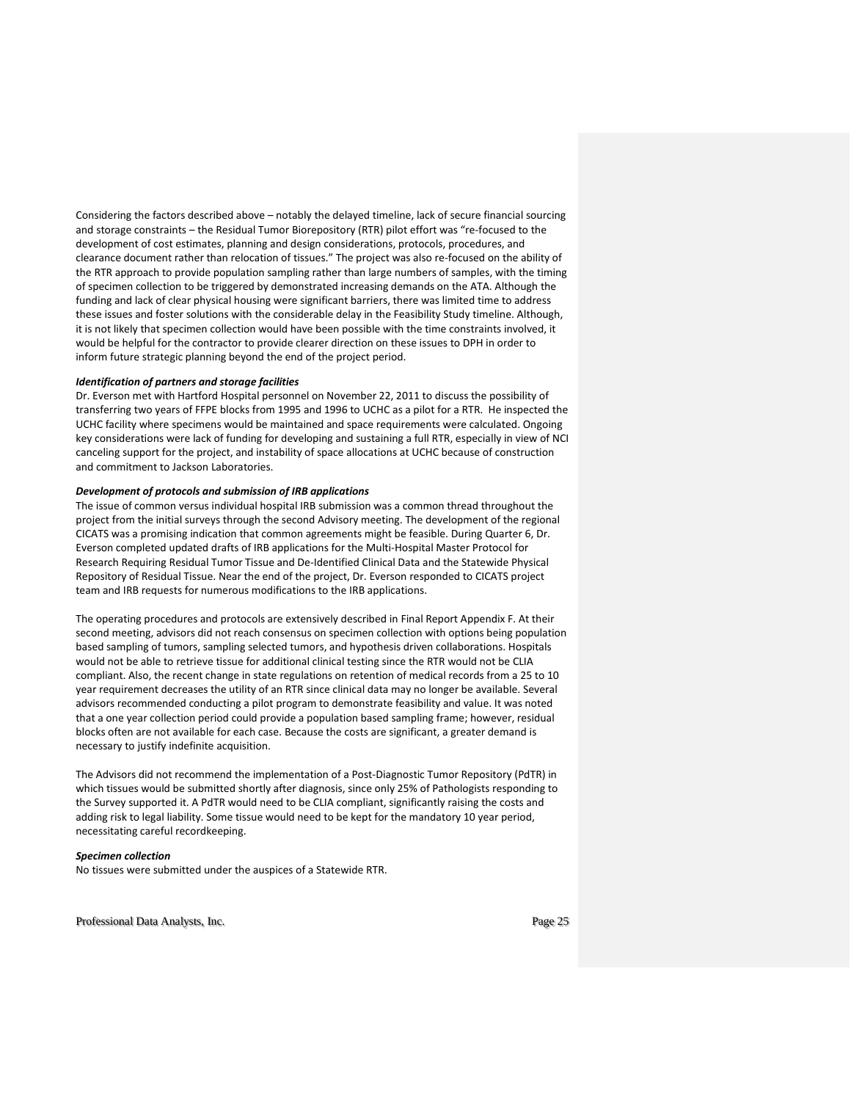Considering the factors described above – notably the delayed timeline, lack of secure financial sourcing and storage constraints – the Residual Tumor Biorepository (RTR) pilot effort was "re-focused to the development of cost estimates, planning and design considerations, protocols, procedures, and clearance document rather than relocation of tissues." The project was also re-focused on the ability of the RTR approach to provide population sampling rather than large numbers of samples, with the timing of specimen collection to be triggered by demonstrated increasing demands on the ATA. Although the funding and lack of clear physical housing were significant barriers, there was limited time to address these issues and foster solutions with the considerable delay in the Feasibility Study timeline. Although, it is not likely that specimen collection would have been possible with the time constraints involved, it would be helpful for the contractor to provide clearer direction on these issues to DPH in order to inform future strategic planning beyond the end of the project period.

### *Identification of partners and storage facilities*

Dr. Everson met with Hartford Hospital personnel on November 22, 2011 to discuss the possibility of transferring two years of FFPE blocks from 1995 and 1996 to UCHC as a pilot for a RTR. He inspected the UCHC facility where specimens would be maintained and space requirements were calculated. Ongoing key considerations were lack of funding for developing and sustaining a full RTR, especially in view of NCI canceling support for the project, and instability of space allocations at UCHC because of construction and commitment to Jackson Laboratories.

### *Development of protocols and submission of IRB applications*

The issue of common versus individual hospital IRB submission was a common thread throughout the project from the initial surveys through the second Advisory meeting. The development of the regional CICATS was a promising indication that common agreements might be feasible. During Quarter 6, Dr. Everson completed updated drafts of IRB applications for the Multi-Hospital Master Protocol for Research Requiring Residual Tumor Tissue and De-Identified Clinical Data and the Statewide Physical Repository of Residual Tissue. Near the end of the project, Dr. Everson responded to CICATS project team and IRB requests for numerous modifications to the IRB applications.

The operating procedures and protocols are extensively described in Final Report Appendix F. At their second meeting, advisors did not reach consensus on specimen collection with options being population based sampling of tumors, sampling selected tumors, and hypothesis driven collaborations. Hospitals would not be able to retrieve tissue for additional clinical testing since the RTR would not be CLIA compliant. Also, the recent change in state regulations on retention of medical records from a 25 to 10 year requirement decreases the utility of an RTR since clinical data may no longer be available. Several advisors recommended conducting a pilot program to demonstrate feasibility and value. It was noted that a one year collection period could provide a population based sampling frame; however, residual blocks often are not available for each case. Because the costs are significant, a greater demand is necessary to justify indefinite acquisition.

The Advisors did not recommend the implementation of a Post-Diagnostic Tumor Repository (PdTR) in which tissues would be submitted shortly after diagnosis, since only 25% of Pathologists responding to the Survey supported it. A PdTR would need to be CLIA compliant, significantly raising the costs and adding risk to legal liability. Some tissue would need to be kept for the mandatory 10 year period, necessitating careful recordkeeping.

### *Specimen collection*

No tissues were submitted under the auspices of a Statewide RTR.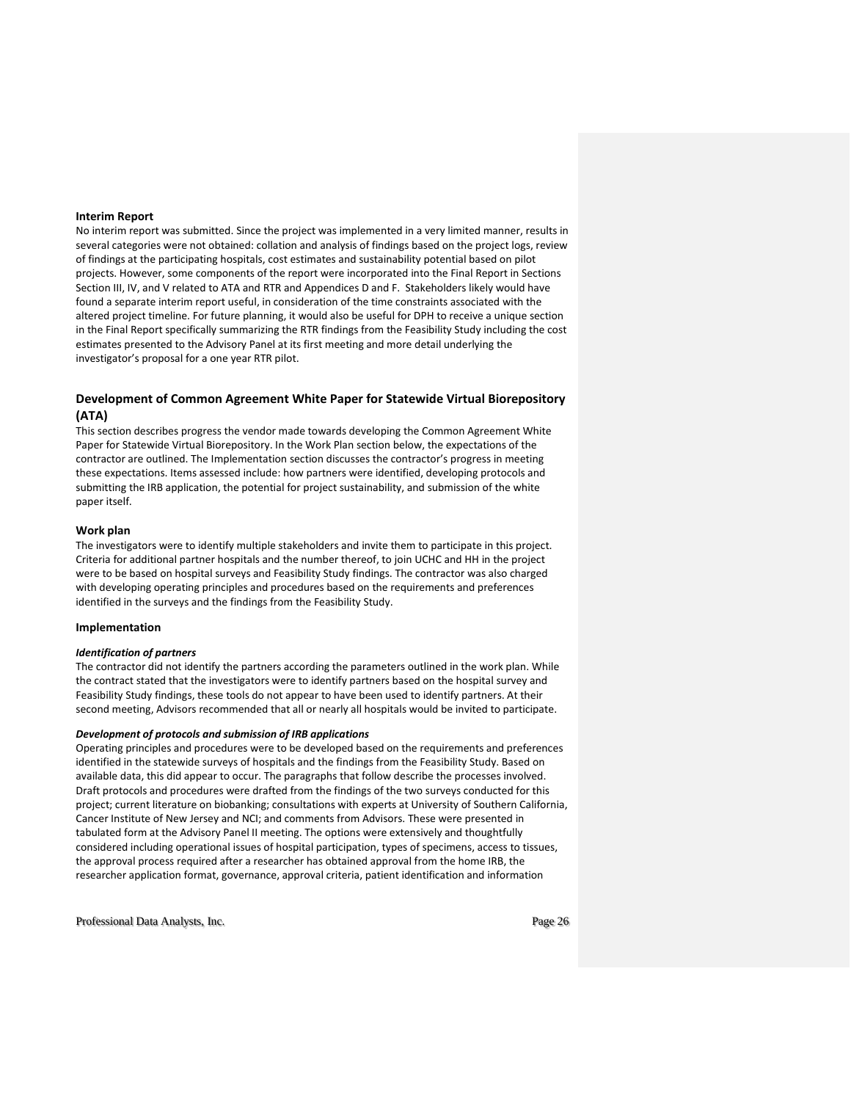### **Interim Report**

No interim report was submitted. Since the project was implemented in a very limited manner, results in several categories were not obtained: collation and analysis of findings based on the project logs, review of findings at the participating hospitals, cost estimates and sustainability potential based on pilot projects. However, some components of the report were incorporated into the Final Report in Sections Section III, IV, and V related to ATA and RTR and Appendices D and F. Stakeholders likely would have found a separate interim report useful, in consideration of the time constraints associated with the altered project timeline. For future planning, it would also be useful for DPH to receive a unique section in the Final Report specifically summarizing the RTR findings from the Feasibility Study including the cost estimates presented to the Advisory Panel at its first meeting and more detail underlying the investigator's proposal for a one year RTR pilot.

### **Development of Common Agreement White Paper for Statewide Virtual Biorepository (ATA)**

This section describes progress the vendor made towards developing the Common Agreement White Paper for Statewide Virtual Biorepository. In the Work Plan section below, the expectations of the contractor are outlined. The Implementation section discusses the contractor's progress in meeting these expectations. Items assessed include: how partners were identified, developing protocols and submitting the IRB application, the potential for project sustainability, and submission of the white paper itself.

### **Work plan**

The investigators were to identify multiple stakeholders and invite them to participate in this project. Criteria for additional partner hospitals and the number thereof, to join UCHC and HH in the project were to be based on hospital surveys and Feasibility Study findings. The contractor was also charged with developing operating principles and procedures based on the requirements and preferences identified in the surveys and the findings from the Feasibility Study.

### **Implementation**

#### *Identification of partners*

The contractor did not identify the partners according the parameters outlined in the work plan. While the contract stated that the investigators were to identify partners based on the hospital survey and Feasibility Study findings, these tools do not appear to have been used to identify partners. At their second meeting, Advisors recommended that all or nearly all hospitals would be invited to participate.

### *Development of protocols and submission of IRB applications*

Operating principles and procedures were to be developed based on the requirements and preferences identified in the statewide surveys of hospitals and the findings from the Feasibility Study. Based on available data, this did appear to occur. The paragraphs that follow describe the processes involved. Draft protocols and procedures were drafted from the findings of the two surveys conducted for this project; current literature on biobanking; consultations with experts at University of Southern California, Cancer Institute of New Jersey and NCI; and comments from Advisors. These were presented in tabulated form at the Advisory Panel II meeting. The options were extensively and thoughtfully considered including operational issues of hospital participation, types of specimens, access to tissues, the approval process required after a researcher has obtained approval from the home IRB, the researcher application format, governance, approval criteria, patient identification and information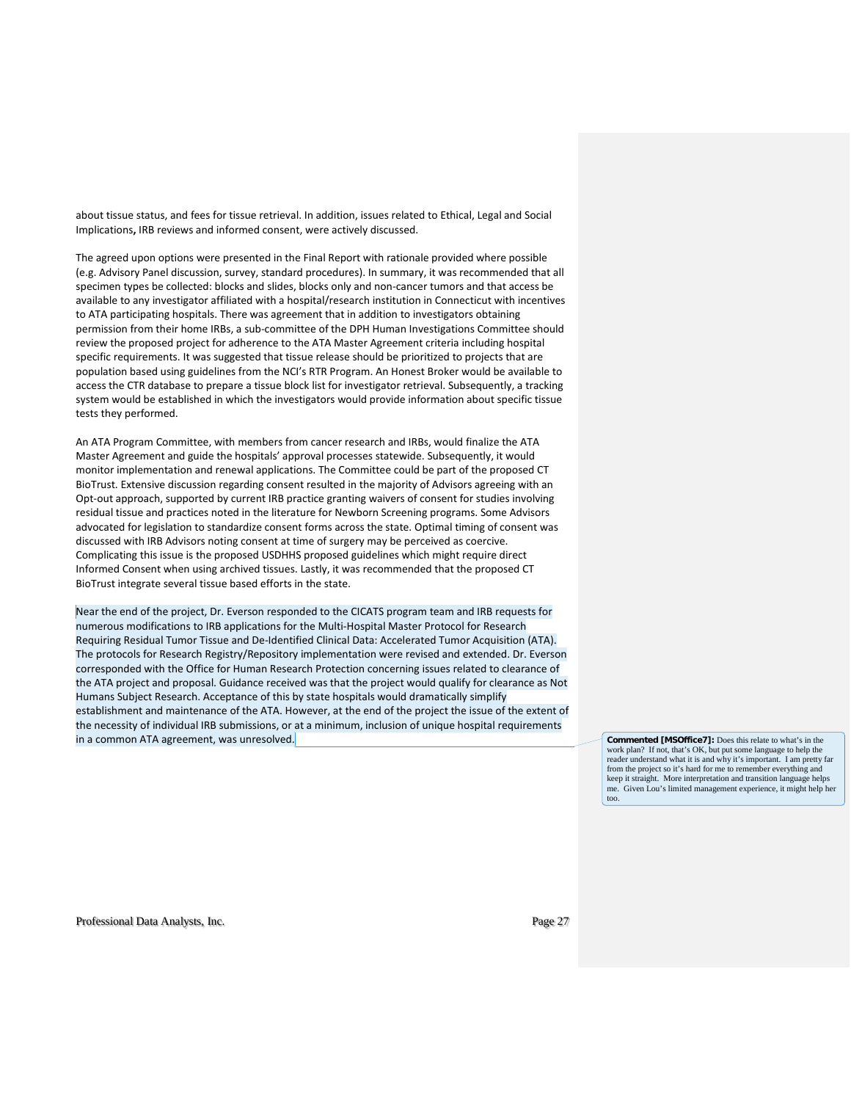about tissue status, and fees for tissue retrieval. In addition, issues related to Ethical, Legal and Social Implications**,** IRB reviews and informed consent, were actively discussed.

The agreed upon options were presented in the Final Report with rationale provided where possible (e.g. Advisory Panel discussion, survey, standard procedures). In summary, it was recommended that all specimen types be collected: blocks and slides, blocks only and non-cancer tumors and that access be available to any investigator affiliated with a hospital/research institution in Connecticut with incentives to ATA participating hospitals. There was agreement that in addition to investigators obtaining permission from their home IRBs, a sub-committee of the DPH Human Investigations Committee should review the proposed project for adherence to the ATA Master Agreement criteria including hospital specific requirements. It was suggested that tissue release should be prioritized to projects that are population based using guidelines from the NCI's RTR Program. An Honest Broker would be available to access the CTR database to prepare a tissue block list for investigator retrieval. Subsequently, a tracking system would be established in which the investigators would provide information about specific tissue tests they performed.

An ATA Program Committee, with members from cancer research and IRBs, would finalize the ATA Master Agreement and guide the hospitals' approval processes statewide. Subsequently, it would monitor implementation and renewal applications. The Committee could be part of the proposed CT BioTrust. Extensive discussion regarding consent resulted in the majority of Advisors agreeing with an Opt-out approach, supported by current IRB practice granting waivers of consent for studies involving residual tissue and practices noted in the literature for Newborn Screening programs. Some Advisors advocated for legislation to standardize consent forms across the state. Optimal timing of consent was discussed with IRB Advisors noting consent at time of surgery may be perceived as coercive. Complicating this issue is the proposed USDHHS proposed guidelines which might require direct Informed Consent when using archived tissues. Lastly, it was recommended that the proposed CT BioTrust integrate several tissue based efforts in the state.

Near the end of the project, Dr. Everson responded to the CICATS program team and IRB requests for numerous modifications to IRB applications for the Multi-Hospital Master Protocol for Research Requiring Residual Tumor Tissue and De-Identified Clinical Data: Accelerated Tumor Acquisition (ATA). The protocols for Research Registry/Repository implementation were revised and extended. Dr. Everson corresponded with the Office for Human Research Protection concerning issues related to clearance of the ATA project and proposal. Guidance received was that the project would qualify for clearance as Not Humans Subject Research. Acceptance of this by state hospitals would dramatically simplify establishment and maintenance of the ATA. However, at the end of the project the issue of the extent of the necessity of individual IRB submissions, or at a minimum, inclusion of unique hospital requirements in a common ATA agreement, was unresolved. **Commented [MSOffice7]:** Does this relate to what's in the

work plan? If not, that's OK, but put some language to help the reader understand what it is and why it's important. I am pretty far from the project so it's hard for me to remember everything and keep it straight. More interpretation and transition language helps me. Given Lou's limited management experience, it might help her too.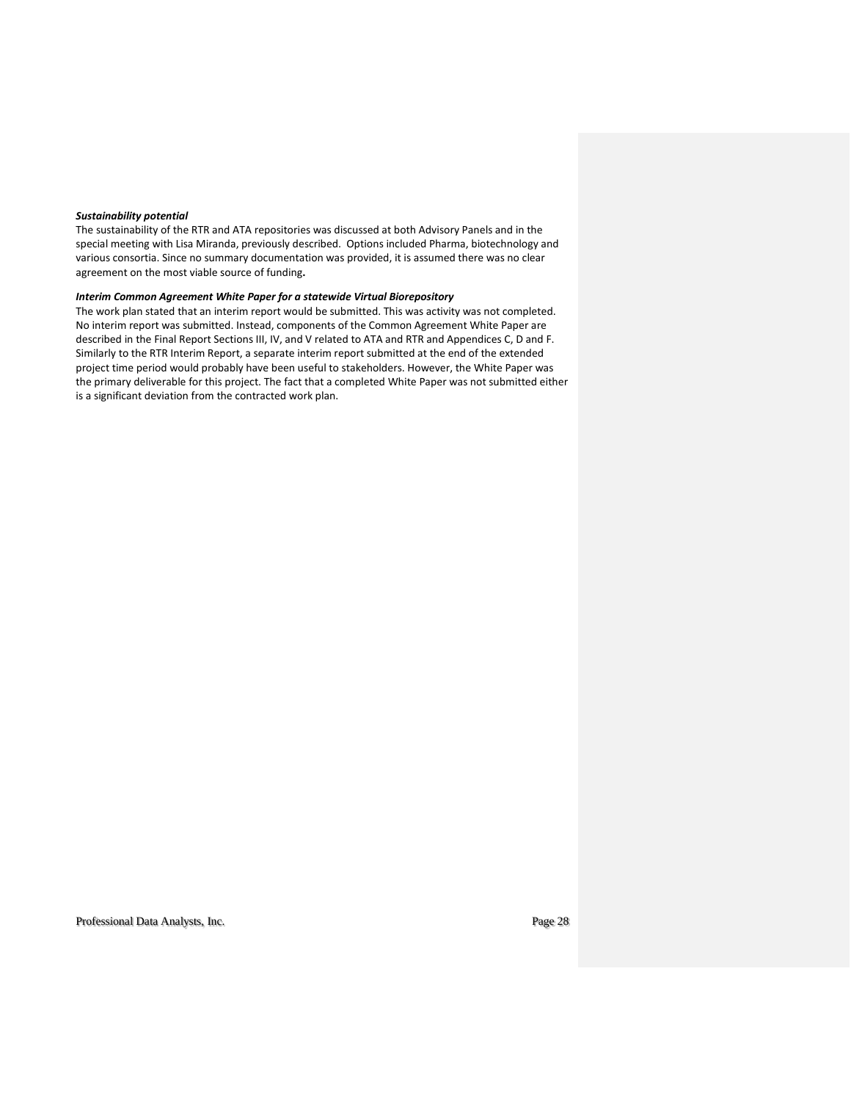### *Sustainability potential*

The sustainability of the RTR and ATA repositories was discussed at both Advisory Panels and in the special meeting with Lisa Miranda, previously described. Options included Pharma, biotechnology and various consortia. Since no summary documentation was provided, it is assumed there was no clear agreement on the most viable source of funding**.**

### *Interim Common Agreement White Paper for a statewide Virtual Biorepository*

The work plan stated that an interim report would be submitted. This was activity was not completed. No interim report was submitted. Instead, components of the Common Agreement White Paper are described in the Final Report Sections III, IV, and V related to ATA and RTR and Appendices C, D and F. Similarly to the RTR Interim Report, a separate interim report submitted at the end of the extended project time period would probably have been useful to stakeholders. However, the White Paper was the primary deliverable for this project. The fact that a completed White Paper was not submitted either is a significant deviation from the contracted work plan.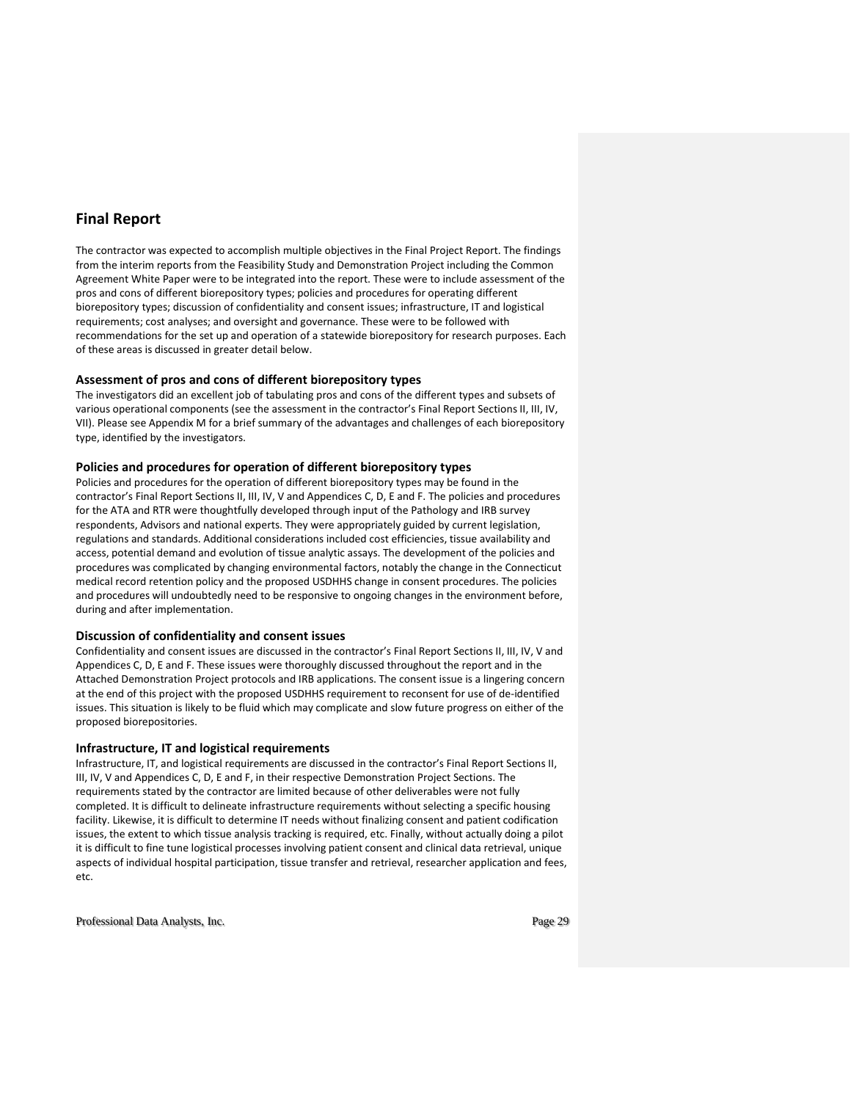# **Final Report**

The contractor was expected to accomplish multiple objectives in the Final Project Report. The findings from the interim reports from the Feasibility Study and Demonstration Project including the Common Agreement White Paper were to be integrated into the report. These were to include assessment of the pros and cons of different biorepository types; policies and procedures for operating different biorepository types; discussion of confidentiality and consent issues; infrastructure, IT and logistical requirements; cost analyses; and oversight and governance. These were to be followed with recommendations for the set up and operation of a statewide biorepository for research purposes. Each of these areas is discussed in greater detail below.

### **Assessment of pros and cons of different biorepository types**

The investigators did an excellent job of tabulating pros and cons of the different types and subsets of various operational components (see the assessment in the contractor's Final Report Sections II, III, IV, VII). Please see Appendix M for a brief summary of the advantages and challenges of each biorepository type, identified by the investigators.

### **Policies and procedures for operation of different biorepository types**

Policies and procedures for the operation of different biorepository types may be found in the contractor's Final Report Sections II, III, IV, V and Appendices C, D, E and F. The policies and procedures for the ATA and RTR were thoughtfully developed through input of the Pathology and IRB survey respondents, Advisors and national experts. They were appropriately guided by current legislation, regulations and standards. Additional considerations included cost efficiencies, tissue availability and access, potential demand and evolution of tissue analytic assays. The development of the policies and procedures was complicated by changing environmental factors, notably the change in the Connecticut medical record retention policy and the proposed USDHHS change in consent procedures. The policies and procedures will undoubtedly need to be responsive to ongoing changes in the environment before, during and after implementation.

### **Discussion of confidentiality and consent issues**

Confidentiality and consent issues are discussed in the contractor's Final Report Sections II, III, IV, V and Appendices C, D, E and F. These issues were thoroughly discussed throughout the report and in the Attached Demonstration Project protocols and IRB applications. The consent issue is a lingering concern at the end of this project with the proposed USDHHS requirement to reconsent for use of de-identified issues. This situation is likely to be fluid which may complicate and slow future progress on either of the proposed biorepositories.

### **Infrastructure, IT and logistical requirements**

Infrastructure, IT, and logistical requirements are discussed in the contractor's Final Report Sections II, III, IV, V and Appendices C, D, E and F, in their respective Demonstration Project Sections. The requirements stated by the contractor are limited because of other deliverables were not fully completed. It is difficult to delineate infrastructure requirements without selecting a specific housing facility. Likewise, it is difficult to determine IT needs without finalizing consent and patient codification issues, the extent to which tissue analysis tracking is required, etc. Finally, without actually doing a pilot it is difficult to fine tune logistical processes involving patient consent and clinical data retrieval, unique aspects of individual hospital participation, tissue transfer and retrieval, researcher application and fees, etc.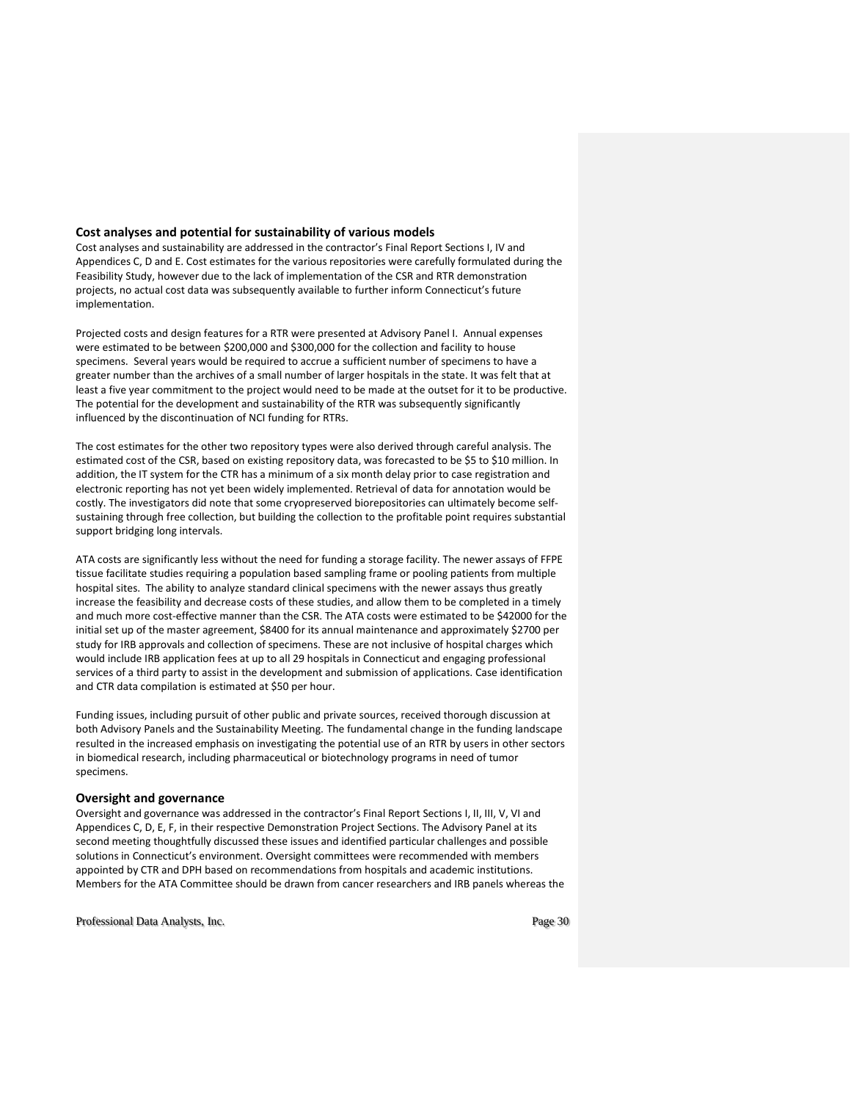### **Cost analyses and potential for sustainability of various models**

Cost analyses and sustainability are addressed in the contractor's Final Report Sections I, IV and Appendices C, D and E. Cost estimates for the various repositories were carefully formulated during the Feasibility Study, however due to the lack of implementation of the CSR and RTR demonstration projects, no actual cost data was subsequently available to further inform Connecticut's future implementation.

Projected costs and design features for a RTR were presented at Advisory Panel I. Annual expenses were estimated to be between \$200,000 and \$300,000 for the collection and facility to house specimens. Several years would be required to accrue a sufficient number of specimens to have a greater number than the archives of a small number of larger hospitals in the state. It was felt that at least a five year commitment to the project would need to be made at the outset for it to be productive. The potential for the development and sustainability of the RTR was subsequently significantly influenced by the discontinuation of NCI funding for RTRs.

The cost estimates for the other two repository types were also derived through careful analysis. The estimated cost of the CSR, based on existing repository data, was forecasted to be \$5 to \$10 million. In addition, the IT system for the CTR has a minimum of a six month delay prior to case registration and electronic reporting has not yet been widely implemented. Retrieval of data for annotation would be costly. The investigators did note that some cryopreserved biorepositories can ultimately become selfsustaining through free collection, but building the collection to the profitable point requires substantial support bridging long intervals.

ATA costs are significantly less without the need for funding a storage facility. The newer assays of FFPE tissue facilitate studies requiring a population based sampling frame or pooling patients from multiple hospital sites. The ability to analyze standard clinical specimens with the newer assays thus greatly increase the feasibility and decrease costs of these studies, and allow them to be completed in a timely and much more cost-effective manner than the CSR. The ATA costs were estimated to be \$42000 for the initial set up of the master agreement, \$8400 for its annual maintenance and approximately \$2700 per study for IRB approvals and collection of specimens. These are not inclusive of hospital charges which would include IRB application fees at up to all 29 hospitals in Connecticut and engaging professional services of a third party to assist in the development and submission of applications. Case identification and CTR data compilation is estimated at \$50 per hour.

Funding issues, including pursuit of other public and private sources, received thorough discussion at both Advisory Panels and the Sustainability Meeting. The fundamental change in the funding landscape resulted in the increased emphasis on investigating the potential use of an RTR by users in other sectors in biomedical research, including pharmaceutical or biotechnology programs in need of tumor specimens.

### **Oversight and governance**

Oversight and governance was addressed in the contractor's Final Report Sections I, II, III, V, VI and Appendices C, D, E, F, in their respective Demonstration Project Sections. The Advisory Panel at its second meeting thoughtfully discussed these issues and identified particular challenges and possible solutions in Connecticut's environment. Oversight committees were recommended with members appointed by CTR and DPH based on recommendations from hospitals and academic institutions. Members for the ATA Committee should be drawn from cancer researchers and IRB panels whereas the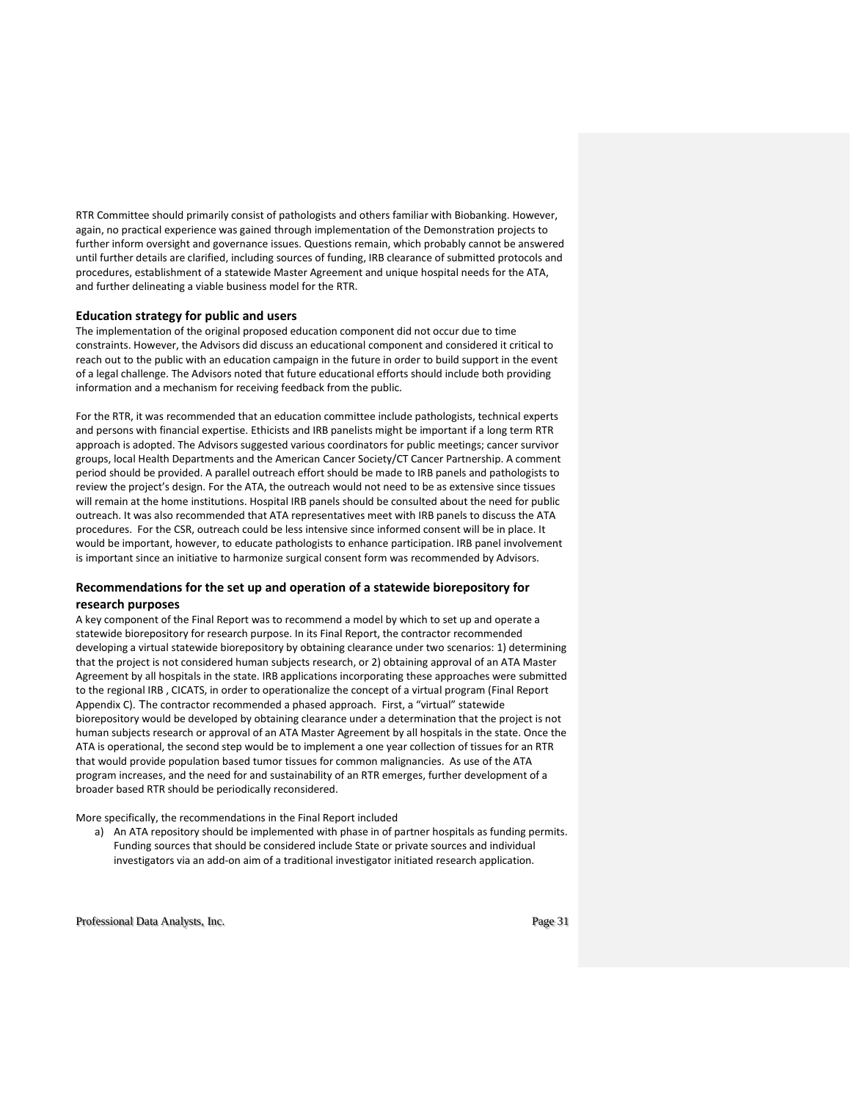RTR Committee should primarily consist of pathologists and others familiar with Biobanking. However, again, no practical experience was gained through implementation of the Demonstration projects to further inform oversight and governance issues. Questions remain, which probably cannot be answered until further details are clarified, including sources of funding, IRB clearance of submitted protocols and procedures, establishment of a statewide Master Agreement and unique hospital needs for the ATA, and further delineating a viable business model for the RTR.

### **Education strategy for public and users**

The implementation of the original proposed education component did not occur due to time constraints. However, the Advisors did discuss an educational component and considered it critical to reach out to the public with an education campaign in the future in order to build support in the event of a legal challenge. The Advisors noted that future educational efforts should include both providing information and a mechanism for receiving feedback from the public.

For the RTR, it was recommended that an education committee include pathologists, technical experts and persons with financial expertise. Ethicists and IRB panelists might be important if a long term RTR approach is adopted. The Advisors suggested various coordinators for public meetings; cancer survivor groups, local Health Departments and the American Cancer Society/CT Cancer Partnership. A comment period should be provided. A parallel outreach effort should be made to IRB panels and pathologists to review the project's design. For the ATA, the outreach would not need to be as extensive since tissues will remain at the home institutions. Hospital IRB panels should be consulted about the need for public outreach. It was also recommended that ATA representatives meet with IRB panels to discuss the ATA procedures. For the CSR, outreach could be less intensive since informed consent will be in place. It would be important, however, to educate pathologists to enhance participation. IRB panel involvement is important since an initiative to harmonize surgical consent form was recommended by Advisors.

### **Recommendations for the set up and operation of a statewide biorepository for research purposes**

A key component of the Final Report was to recommend a model by which to set up and operate a statewide biorepository for research purpose. In its Final Report, the contractor recommended developing a virtual statewide biorepository by obtaining clearance under two scenarios: 1) determining that the project is not considered human subjects research, or 2) obtaining approval of an ATA Master Agreement by all hospitals in the state. IRB applications incorporating these approaches were submitted to the regional IRB , CICATS, in order to operationalize the concept of a virtual program (Final Report Appendix C). The contractor recommended a phased approach. First, a "virtual" statewide biorepository would be developed by obtaining clearance under a determination that the project is not human subjects research or approval of an ATA Master Agreement by all hospitals in the state. Once the ATA is operational, the second step would be to implement a one year collection of tissues for an RTR that would provide population based tumor tissues for common malignancies. As use of the ATA program increases, and the need for and sustainability of an RTR emerges, further development of a broader based RTR should be periodically reconsidered.

More specifically, the recommendations in the Final Report included

a) An ATA repository should be implemented with phase in of partner hospitals as funding permits. Funding sources that should be considered include State or private sources and individual investigators via an add-on aim of a traditional investigator initiated research application.

Professional Data Analysts, Inc. extended the professional Data Analysts, Inc.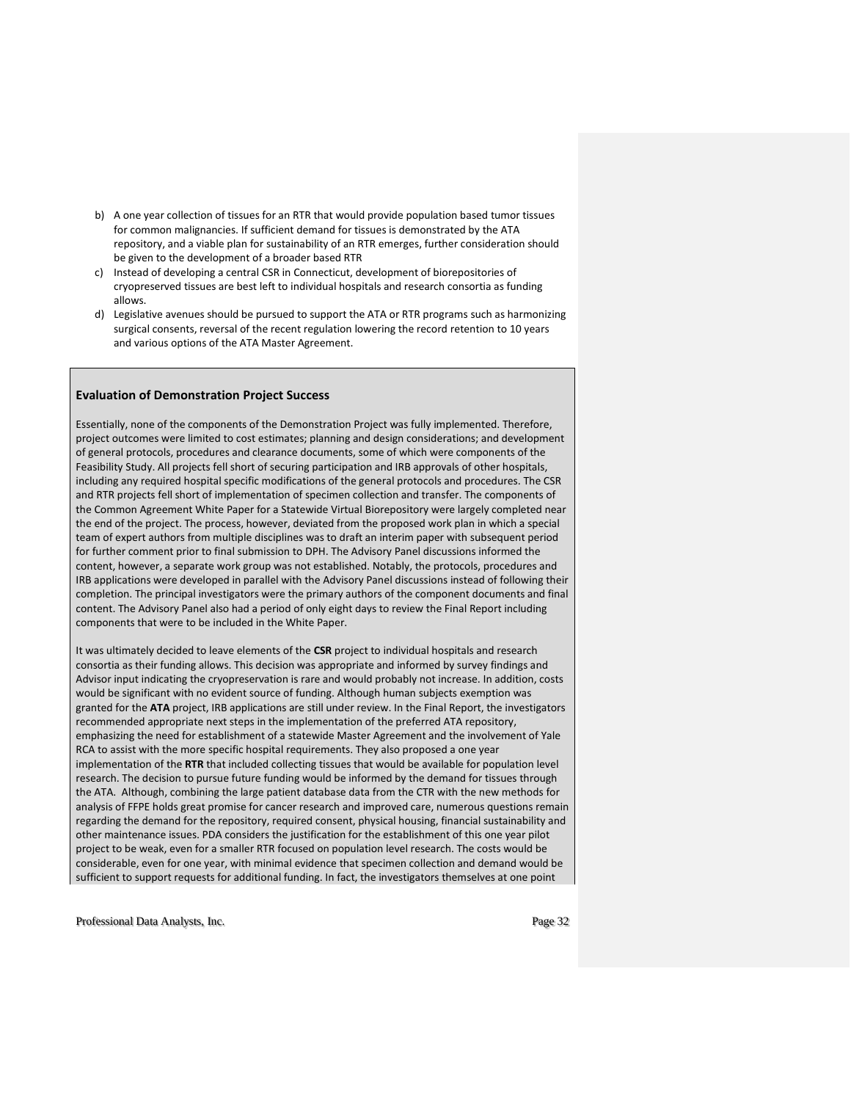- b) A one year collection of tissues for an RTR that would provide population based tumor tissues for common malignancies. If sufficient demand for tissues is demonstrated by the ATA repository, and a viable plan for sustainability of an RTR emerges, further consideration should be given to the development of a broader based RTR
- c) Instead of developing a central CSR in Connecticut, development of biorepositories of cryopreserved tissues are best left to individual hospitals and research consortia as funding allows.
- d) Legislative avenues should be pursued to support the ATA or RTR programs such as harmonizing surgical consents, reversal of the recent regulation lowering the record retention to 10 years and various options of the ATA Master Agreement.

### **Evaluation of Demonstration Project Success**

Essentially, none of the components of the Demonstration Project was fully implemented. Therefore, project outcomes were limited to cost estimates; planning and design considerations; and development of general protocols, procedures and clearance documents, some of which were components of the Feasibility Study. All projects fell short of securing participation and IRB approvals of other hospitals, including any required hospital specific modifications of the general protocols and procedures. The CSR and RTR projects fell short of implementation of specimen collection and transfer. The components of the Common Agreement White Paper for a Statewide Virtual Biorepository were largely completed near the end of the project. The process, however, deviated from the proposed work plan in which a special team of expert authors from multiple disciplines was to draft an interim paper with subsequent period for further comment prior to final submission to DPH. The Advisory Panel discussions informed the content, however, a separate work group was not established. Notably, the protocols, procedures and IRB applications were developed in parallel with the Advisory Panel discussions instead of following their completion. The principal investigators were the primary authors of the component documents and final content. The Advisory Panel also had a period of only eight days to review the Final Report including components that were to be included in the White Paper.

It was ultimately decided to leave elements of the **CSR** project to individual hospitals and research consortia as their funding allows. This decision was appropriate and informed by survey findings and Advisor input indicating the cryopreservation is rare and would probably not increase. In addition, costs would be significant with no evident source of funding. Although human subjects exemption was granted for the **ATA** project, IRB applications are still under review. In the Final Report, the investigators recommended appropriate next steps in the implementation of the preferred ATA repository, emphasizing the need for establishment of a statewide Master Agreement and the involvement of Yale RCA to assist with the more specific hospital requirements. They also proposed a one year implementation of the **RTR** that included collecting tissues that would be available for population level research. The decision to pursue future funding would be informed by the demand for tissues through the ATA. Although, combining the large patient database data from the CTR with the new methods for analysis of FFPE holds great promise for cancer research and improved care, numerous questions remain regarding the demand for the repository, required consent, physical housing, financial sustainability and other maintenance issues. PDA considers the justification for the establishment of this one year pilot project to be weak, even for a smaller RTR focused on population level research. The costs would be considerable, even for one year, with minimal evidence that specimen collection and demand would be sufficient to support requests for additional funding. In fact, the investigators themselves at one point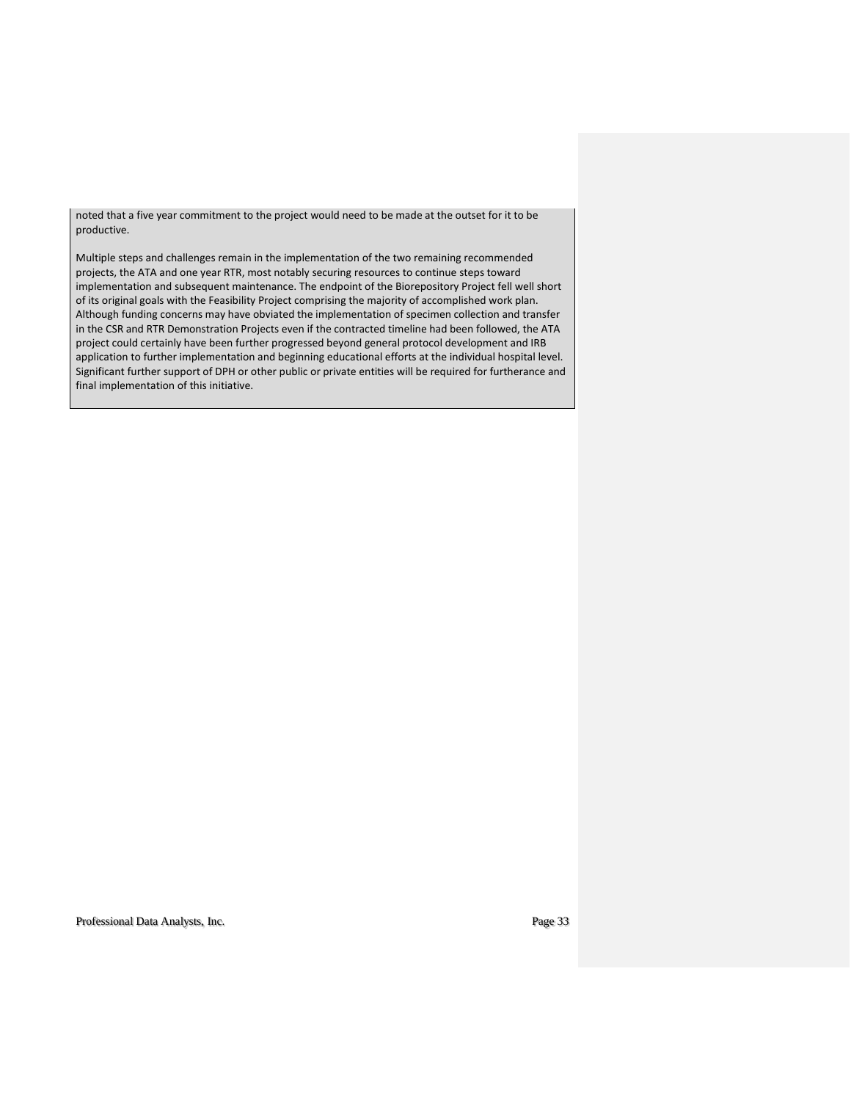noted that a five year commitment to the project would need to be made at the outset for it to be productive.

Multiple steps and challenges remain in the implementation of the two remaining recommended projects, the ATA and one year RTR, most notably securing resources to continue steps toward implementation and subsequent maintenance. The endpoint of the Biorepository Project fell well short of its original goals with the Feasibility Project comprising the majority of accomplished work plan. Although funding concerns may have obviated the implementation of specimen collection and transfer in the CSR and RTR Demonstration Projects even if the contracted timeline had been followed, the ATA project could certainly have been further progressed beyond general protocol development and IRB application to further implementation and beginning educational efforts at the individual hospital level. Significant further support of DPH or other public or private entities will be required for furtherance and final implementation of this initiative.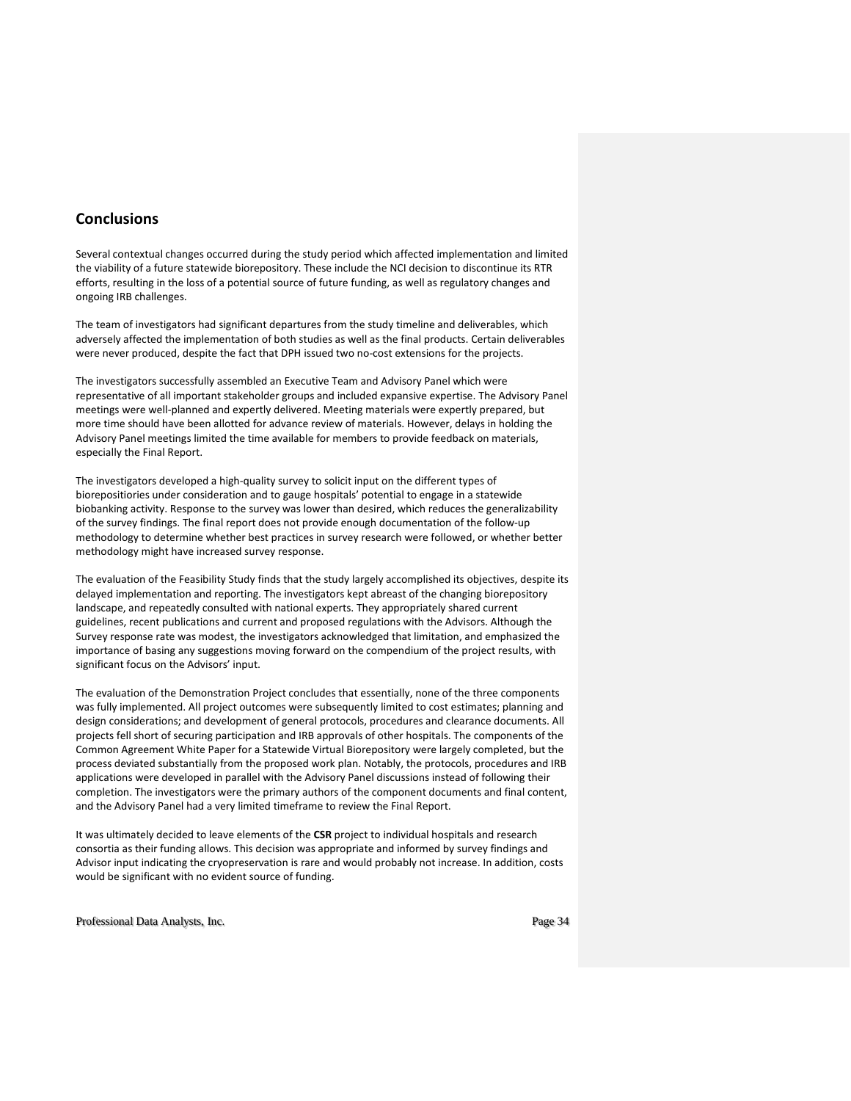# **Conclusions**

Several contextual changes occurred during the study period which affected implementation and limited the viability of a future statewide biorepository. These include the NCI decision to discontinue its RTR efforts, resulting in the loss of a potential source of future funding, as well as regulatory changes and ongoing IRB challenges.

The team of investigators had significant departures from the study timeline and deliverables, which adversely affected the implementation of both studies as well as the final products. Certain deliverables were never produced, despite the fact that DPH issued two no-cost extensions for the projects.

The investigators successfully assembled an Executive Team and Advisory Panel which were representative of all important stakeholder groups and included expansive expertise. The Advisory Panel meetings were well-planned and expertly delivered. Meeting materials were expertly prepared, but more time should have been allotted for advance review of materials. However, delays in holding the Advisory Panel meetings limited the time available for members to provide feedback on materials, especially the Final Report.

The investigators developed a high-quality survey to solicit input on the different types of biorepositiories under consideration and to gauge hospitals' potential to engage in a statewide biobanking activity. Response to the survey was lower than desired, which reduces the generalizability of the survey findings. The final report does not provide enough documentation of the follow-up methodology to determine whether best practices in survey research were followed, or whether better methodology might have increased survey response.

The evaluation of the Feasibility Study finds that the study largely accomplished its objectives, despite its delayed implementation and reporting. The investigators kept abreast of the changing biorepository landscape, and repeatedly consulted with national experts. They appropriately shared current guidelines, recent publications and current and proposed regulations with the Advisors. Although the Survey response rate was modest, the investigators acknowledged that limitation, and emphasized the importance of basing any suggestions moving forward on the compendium of the project results, with significant focus on the Advisors' input.

The evaluation of the Demonstration Project concludes that essentially, none of the three components was fully implemented. All project outcomes were subsequently limited to cost estimates; planning and design considerations; and development of general protocols, procedures and clearance documents. All projects fell short of securing participation and IRB approvals of other hospitals. The components of the Common Agreement White Paper for a Statewide Virtual Biorepository were largely completed, but the process deviated substantially from the proposed work plan. Notably, the protocols, procedures and IRB applications were developed in parallel with the Advisory Panel discussions instead of following their completion. The investigators were the primary authors of the component documents and final content, and the Advisory Panel had a very limited timeframe to review the Final Report.

It was ultimately decided to leave elements of the **CSR** project to individual hospitals and research consortia as their funding allows. This decision was appropriate and informed by survey findings and Advisor input indicating the cryopreservation is rare and would probably not increase. In addition, costs would be significant with no evident source of funding.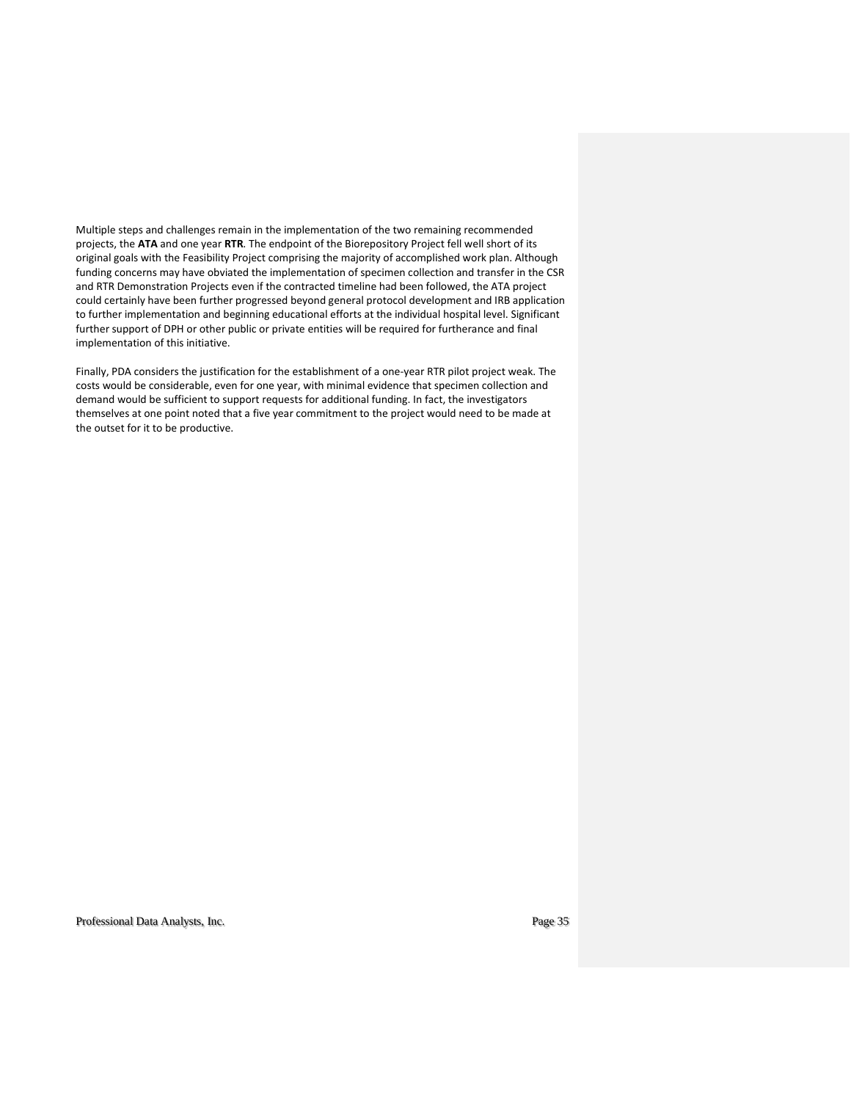Multiple steps and challenges remain in the implementation of the two remaining recommended projects, the **ATA** and one year **RTR**. The endpoint of the Biorepository Project fell well short of its original goals with the Feasibility Project comprising the majority of accomplished work plan. Although funding concerns may have obviated the implementation of specimen collection and transfer in the CSR and RTR Demonstration Projects even if the contracted timeline had been followed, the ATA project could certainly have been further progressed beyond general protocol development and IRB application to further implementation and beginning educational efforts at the individual hospital level. Significant further support of DPH or other public or private entities will be required for furtherance and final implementation of this initiative.

Finally, PDA considers the justification for the establishment of a one-year RTR pilot project weak. The costs would be considerable, even for one year, with minimal evidence that specimen collection and demand would be sufficient to support requests for additional funding. In fact, the investigators themselves at one point noted that a five year commitment to the project would need to be made at the outset for it to be productive.